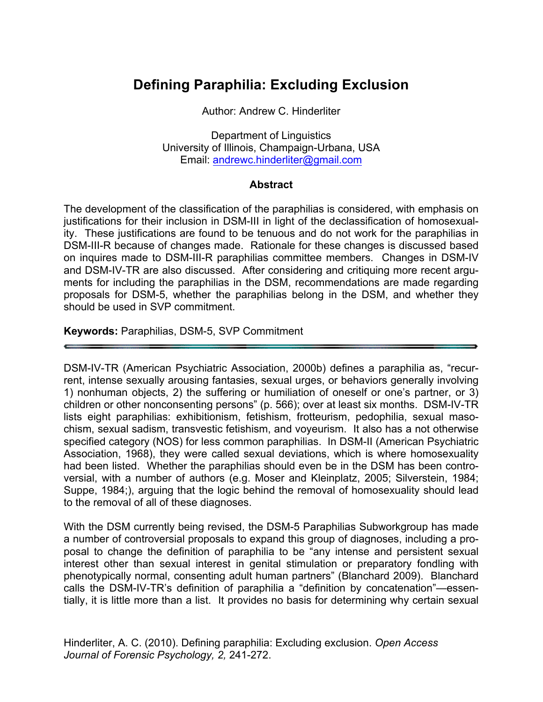# **Defining Paraphilia: Excluding Exclusion**

#### Author: Andrew C. Hinderliter

Department of Linguistics University of Illinois, Champaign-Urbana, USA Email: andrewc.hinderliter@gmail.com

#### **Abstract**

The development of the classification of the paraphilias is considered, with emphasis on justifications for their inclusion in DSM-III in light of the declassification of homosexuality. These justifications are found to be tenuous and do not work for the paraphilias in DSM-III-R because of changes made. Rationale for these changes is discussed based on inquires made to DSM-III-R paraphilias committee members. Changes in DSM-IV and DSM-IV-TR are also discussed. After considering and critiquing more recent arguments for including the paraphilias in the DSM, recommendations are made regarding proposals for DSM-5, whether the paraphilias belong in the DSM, and whether they should be used in SVP commitment.

#### **Keywords:** Paraphilias, DSM-5, SVP Commitment

DSM-IV-TR (American Psychiatric Association, 2000b) defines a paraphilia as, "recurrent, intense sexually arousing fantasies, sexual urges, or behaviors generally involving 1) nonhuman objects, 2) the suffering or humiliation of oneself or one's partner, or 3) children or other nonconsenting persons" (p. 566); over at least six months. DSM-IV-TR lists eight paraphilias: exhibitionism, fetishism, frotteurism, pedophilia, sexual masochism, sexual sadism, transvestic fetishism, and voyeurism. It also has a not otherwise specified category (NOS) for less common paraphilias. In DSM-II (American Psychiatric Association, 1968), they were called sexual deviations, which is where homosexuality had been listed. Whether the paraphilias should even be in the DSM has been controversial, with a number of authors (e.g. Moser and Kleinplatz, 2005; Silverstein, 1984; Suppe, 1984;), arguing that the logic behind the removal of homosexuality should lead to the removal of all of these diagnoses.

With the DSM currently being revised, the DSM-5 Paraphilias Subworkgroup has made a number of controversial proposals to expand this group of diagnoses, including a proposal to change the definition of paraphilia to be "any intense and persistent sexual interest other than sexual interest in genital stimulation or preparatory fondling with phenotypically normal, consenting adult human partners" (Blanchard 2009). Blanchard calls the DSM-IV-TR's definition of paraphilia a "definition by concatenation"—essentially, it is little more than a list. It provides no basis for determining why certain sexual

Hinderliter, A. C. (2010). Defining paraphilia: Excluding exclusion. *Open Access Journal of Forensic Psychology, 2,* 241-272.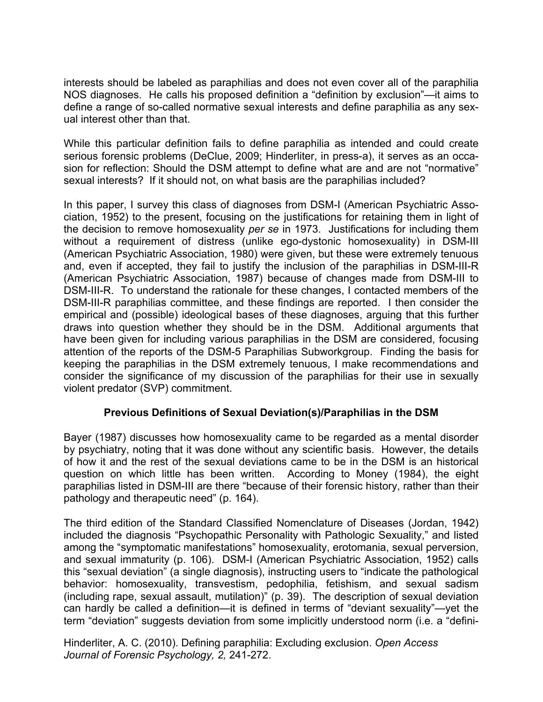interests should be labeled as paraphilias and does not even cover all of the paraphilia NOS diagnoses. He calls his proposed definition a "definition by exclusion"—it aims to define a range of so-called normative sexual interests and define paraphilia as any sexual interest other than that.

While this particular definition fails to define paraphilia as intended and could create serious forensic problems (DeClue, 2009; Hinderliter, in press-a), it serves as an occasion for reflection: Should the DSM attempt to define what are and are not "normative" sexual interests? If it should not, on what basis are the paraphilias included?

In this paper, I survey this class of diagnoses from DSM-I (American Psychiatric Association, 1952) to the present, focusing on the justifications for retaining them in light of the decision to remove homosexuality *per se* in 1973. Justifications for including them without a requirement of distress (unlike ego-dystonic homosexuality) in DSM-III (American Psychiatric Association, 1980) were given, but these were extremely tenuous and, even if accepted, they fail to justify the inclusion of the paraphilias in DSM-III-R (American Psychiatric Association, 1987) because of changes made from DSM-III to DSM-III-R. To understand the rationale for these changes, I contacted members of the DSM-III-R paraphilias committee, and these findings are reported. I then consider the empirical and (possible) ideological bases of these diagnoses, arguing that this further draws into question whether they should be in the DSM. Additional arguments that have been given for including various paraphilias in the DSM are considered, focusing attention of the reports of the DSM-5 Paraphilias Subworkgroup. Finding the basis for keeping the paraphilias in the DSM extremely tenuous, I make recommendations and consider the significance of my discussion of the paraphilias for their use in sexually violent predator (SVP) commitment.

### **Previous Definitions of Sexual Deviation(s)/Paraphilias in the DSM**

Bayer (1987) discusses how homosexuality came to be regarded as a mental disorder by psychiatry, noting that it was done without any scientific basis. However, the details of how it and the rest of the sexual deviations came to be in the DSM is an historical question on which little has been written. According to Money (1984), the eight paraphilias listed in DSM-III are there "because of their forensic history, rather than their pathology and therapeutic need" (p. 164).

The third edition of the Standard Classified Nomenclature of Diseases (Jordan, 1942) included the diagnosis "Psychopathic Personality with Pathologic Sexuality," and listed among the "symptomatic manifestations" homosexuality, erotomania, sexual perversion, and sexual immaturity (p. 106). DSM-I (American Psychiatric Association, 1952) calls this "sexual deviation" (a single diagnosis), instructing users to "indicate the pathological behavior: homosexuality, transvestism, pedophilia, fetishism, and sexual sadism (including rape, sexual assault, mutilation)" (p. 39). The description of sexual deviation can hardly be called a definition—it is defined in terms of "deviant sexuality"—yet the term "deviation" suggests deviation from some implicitly understood norm (i.e. a "defini-

Hinderliter, A. C. (2010). Defining paraphilia: Excluding exclusion. *Open Access Journal of Forensic Psychology, 2,* 241-272.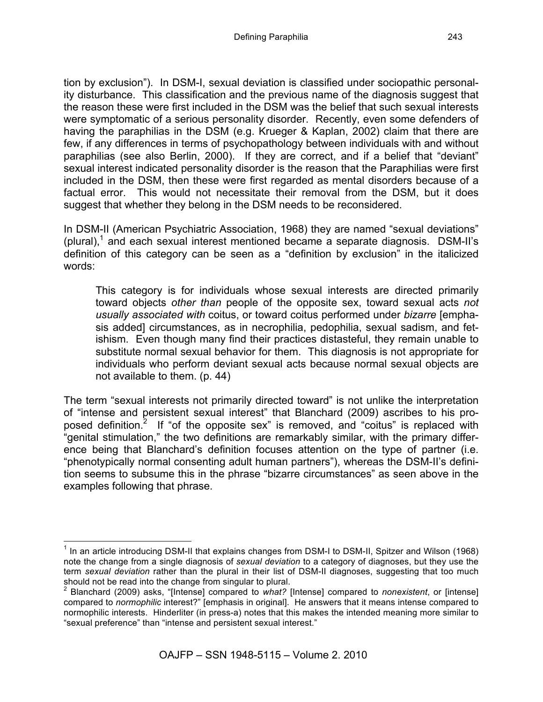tion by exclusion"). In DSM-I, sexual deviation is classified under sociopathic personality disturbance. This classification and the previous name of the diagnosis suggest that the reason these were first included in the DSM was the belief that such sexual interests were symptomatic of a serious personality disorder. Recently, even some defenders of having the paraphilias in the DSM (e.g. Krueger & Kaplan, 2002) claim that there are few, if any differences in terms of psychopathology between individuals with and without paraphilias (see also Berlin, 2000). If they are correct, and if a belief that "deviant" sexual interest indicated personality disorder is the reason that the Paraphilias were first included in the DSM, then these were first regarded as mental disorders because of a factual error. This would not necessitate their removal from the DSM, but it does suggest that whether they belong in the DSM needs to be reconsidered.

In DSM-II (American Psychiatric Association, 1968) they are named "sexual deviations" (plural),<sup>1</sup> and each sexual interest mentioned became a separate diagnosis. DSM-II's definition of this category can be seen as a "definition by exclusion" in the italicized words:

This category is for individuals whose sexual interests are directed primarily toward objects *other than* people of the opposite sex, toward sexual acts *not usually associated with* coitus, or toward coitus performed under *bizarre* [emphasis added] circumstances, as in necrophilia, pedophilia, sexual sadism, and fetishism. Even though many find their practices distasteful, they remain unable to substitute normal sexual behavior for them. This diagnosis is not appropriate for individuals who perform deviant sexual acts because normal sexual objects are not available to them. (p. 44)

The term "sexual interests not primarily directed toward" is not unlike the interpretation of "intense and persistent sexual interest" that Blanchard (2009) ascribes to his proposed definition.<sup>2</sup> If "of the opposite sex" is removed, and "coitus" is replaced with "genital stimulation," the two definitions are remarkably similar, with the primary difference being that Blanchard's definition focuses attention on the type of partner (i.e. "phenotypically normal consenting adult human partners"), whereas the DSM-II's definition seems to subsume this in the phrase "bizarre circumstances" as seen above in the examples following that phrase.

 $1$  In an article introducing DSM-II that explains changes from DSM-I to DSM-II, Spitzer and Wilson (1968) note the change from a single diagnosis of *sexual deviation* to a category of diagnoses, but they use the term *sexual deviation* rather than the plural in their list of DSM-II diagnoses, suggesting that too much should not be read into the change from singular to plural.

<sup>2</sup> Blanchard (2009) asks, "[Intense] compared to *what?* [Intense] compared to *nonexistent*, or [intense] compared to *normophilic* interest?" [emphasis in original]. He answers that it means intense compared to normophilic interests. Hinderliter (in press-a) notes that this makes the intended meaning more similar to "sexual preference" than "intense and persistent sexual interest."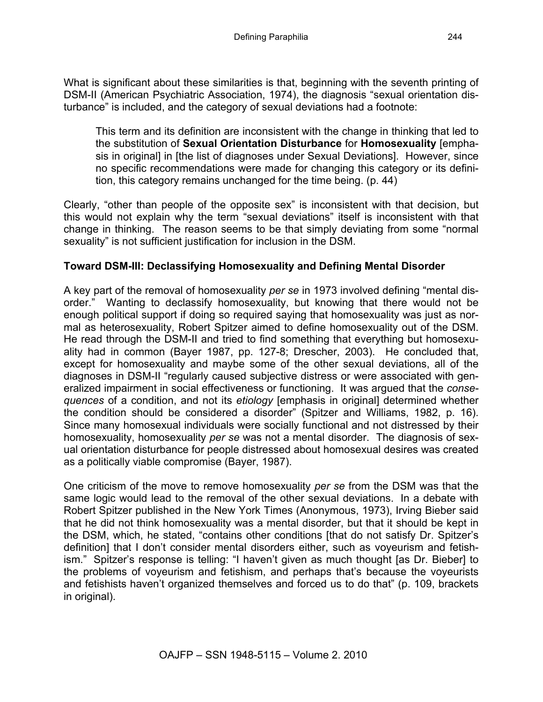What is significant about these similarities is that, beginning with the seventh printing of DSM-II (American Psychiatric Association, 1974), the diagnosis "sexual orientation disturbance" is included, and the category of sexual deviations had a footnote:

This term and its definition are inconsistent with the change in thinking that led to the substitution of **Sexual Orientation Disturbance** for **Homosexuality** [emphasis in original] in [the list of diagnoses under Sexual Deviations]. However, since no specific recommendations were made for changing this category or its definition, this category remains unchanged for the time being. (p. 44)

Clearly, "other than people of the opposite sex" is inconsistent with that decision, but this would not explain why the term "sexual deviations" itself is inconsistent with that change in thinking. The reason seems to be that simply deviating from some "normal sexuality" is not sufficient justification for inclusion in the DSM.

### **Toward DSM-III: Declassifying Homosexuality and Defining Mental Disorder**

A key part of the removal of homosexuality *per se* in 1973 involved defining "mental disorder." Wanting to declassify homosexuality, but knowing that there would not be enough political support if doing so required saying that homosexuality was just as normal as heterosexuality, Robert Spitzer aimed to define homosexuality out of the DSM. He read through the DSM-II and tried to find something that everything but homosexuality had in common (Bayer 1987, pp. 127-8; Drescher, 2003). He concluded that, except for homosexuality and maybe some of the other sexual deviations, all of the diagnoses in DSM-II "regularly caused subjective distress or were associated with generalized impairment in social effectiveness or functioning. It was argued that the *consequences* of a condition, and not its *etiology* [emphasis in original] determined whether the condition should be considered a disorder" (Spitzer and Williams, 1982, p. 16). Since many homosexual individuals were socially functional and not distressed by their homosexuality, homosexuality *per se* was not a mental disorder. The diagnosis of sexual orientation disturbance for people distressed about homosexual desires was created as a politically viable compromise (Bayer, 1987).

One criticism of the move to remove homosexuality *per se* from the DSM was that the same logic would lead to the removal of the other sexual deviations. In a debate with Robert Spitzer published in the New York Times (Anonymous, 1973), Irving Bieber said that he did not think homosexuality was a mental disorder, but that it should be kept in the DSM, which, he stated, "contains other conditions [that do not satisfy Dr. Spitzer's definition] that I don't consider mental disorders either, such as voyeurism and fetishism." Spitzer's response is telling: "I haven't given as much thought [as Dr. Bieber] to the problems of voyeurism and fetishism, and perhaps that's because the voyeurists and fetishists haven't organized themselves and forced us to do that" (p. 109, brackets in original).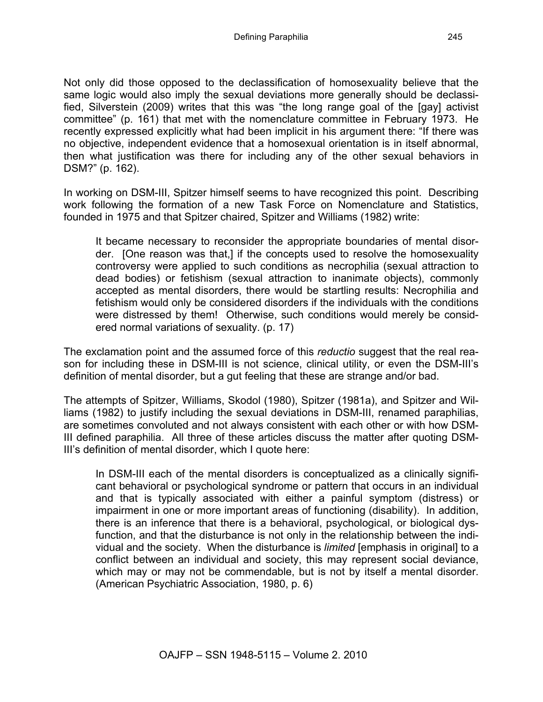Not only did those opposed to the declassification of homosexuality believe that the same logic would also imply the sexual deviations more generally should be declassified, Silverstein (2009) writes that this was "the long range goal of the [gay] activist committee" (p. 161) that met with the nomenclature committee in February 1973. He recently expressed explicitly what had been implicit in his argument there: "If there was no objective, independent evidence that a homosexual orientation is in itself abnormal, then what justification was there for including any of the other sexual behaviors in DSM?" (p. 162).

In working on DSM-III, Spitzer himself seems to have recognized this point. Describing work following the formation of a new Task Force on Nomenclature and Statistics, founded in 1975 and that Spitzer chaired, Spitzer and Williams (1982) write:

It became necessary to reconsider the appropriate boundaries of mental disorder. [One reason was that,] if the concepts used to resolve the homosexuality controversy were applied to such conditions as necrophilia (sexual attraction to dead bodies) or fetishism (sexual attraction to inanimate objects), commonly accepted as mental disorders, there would be startling results: Necrophilia and fetishism would only be considered disorders if the individuals with the conditions were distressed by them! Otherwise, such conditions would merely be considered normal variations of sexuality. (p. 17)

The exclamation point and the assumed force of this *reductio* suggest that the real reason for including these in DSM-III is not science, clinical utility, or even the DSM-III's definition of mental disorder, but a gut feeling that these are strange and/or bad.

The attempts of Spitzer, Williams, Skodol (1980), Spitzer (1981a), and Spitzer and Williams (1982) to justify including the sexual deviations in DSM-III, renamed paraphilias, are sometimes convoluted and not always consistent with each other or with how DSM-III defined paraphilia. All three of these articles discuss the matter after quoting DSM-III's definition of mental disorder, which I quote here:

In DSM-III each of the mental disorders is conceptualized as a clinically significant behavioral or psychological syndrome or pattern that occurs in an individual and that is typically associated with either a painful symptom (distress) or impairment in one or more important areas of functioning (disability). In addition, there is an inference that there is a behavioral, psychological, or biological dysfunction, and that the disturbance is not only in the relationship between the individual and the society. When the disturbance is *limited* [emphasis in original] to a conflict between an individual and society, this may represent social deviance, which may or may not be commendable, but is not by itself a mental disorder. (American Psychiatric Association, 1980, p. 6)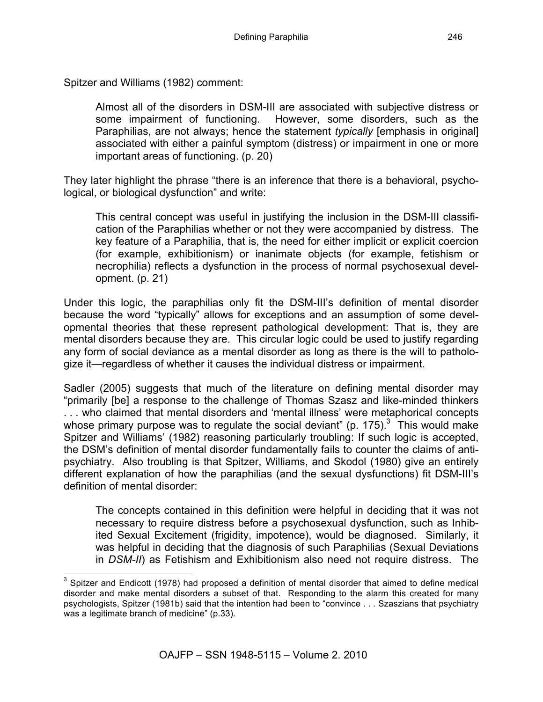Spitzer and Williams (1982) comment:

Almost all of the disorders in DSM-III are associated with subjective distress or some impairment of functioning. However, some disorders, such as the Paraphilias, are not always; hence the statement *typically* [emphasis in original] associated with either a painful symptom (distress) or impairment in one or more important areas of functioning. (p. 20)

They later highlight the phrase "there is an inference that there is a behavioral, psychological, or biological dysfunction" and write:

This central concept was useful in justifying the inclusion in the DSM-III classification of the Paraphilias whether or not they were accompanied by distress. The key feature of a Paraphilia, that is, the need for either implicit or explicit coercion (for example, exhibitionism) or inanimate objects (for example, fetishism or necrophilia) reflects a dysfunction in the process of normal psychosexual development. (p. 21)

Under this logic, the paraphilias only fit the DSM-III's definition of mental disorder because the word "typically" allows for exceptions and an assumption of some developmental theories that these represent pathological development: That is, they are mental disorders because they are. This circular logic could be used to justify regarding any form of social deviance as a mental disorder as long as there is the will to pathologize it—regardless of whether it causes the individual distress or impairment.

Sadler (2005) suggests that much of the literature on defining mental disorder may "primarily [be] a response to the challenge of Thomas Szasz and like-minded thinkers . . . who claimed that mental disorders and 'mental illness' were metaphorical concepts whose primary purpose was to regulate the social deviant" (p. 175). $3$  This would make Spitzer and Williams' (1982) reasoning particularly troubling: If such logic is accepted, the DSM's definition of mental disorder fundamentally fails to counter the claims of antipsychiatry. Also troubling is that Spitzer, Williams, and Skodol (1980) give an entirely different explanation of how the paraphilias (and the sexual dysfunctions) fit DSM-III's definition of mental disorder:

The concepts contained in this definition were helpful in deciding that it was not necessary to require distress before a psychosexual dysfunction, such as Inhibited Sexual Excitement (frigidity, impotence), would be diagnosed. Similarly, it was helpful in deciding that the diagnosis of such Paraphilias (Sexual Deviations in *DSM-II*) as Fetishism and Exhibitionism also need not require distress. The

 $3$  Spitzer and Endicott (1978) had proposed a definition of mental disorder that aimed to define medical disorder and make mental disorders a subset of that. Responding to the alarm this created for many psychologists, Spitzer (1981b) said that the intention had been to "convince . . . Szaszians that psychiatry was a legitimate branch of medicine" (p.33).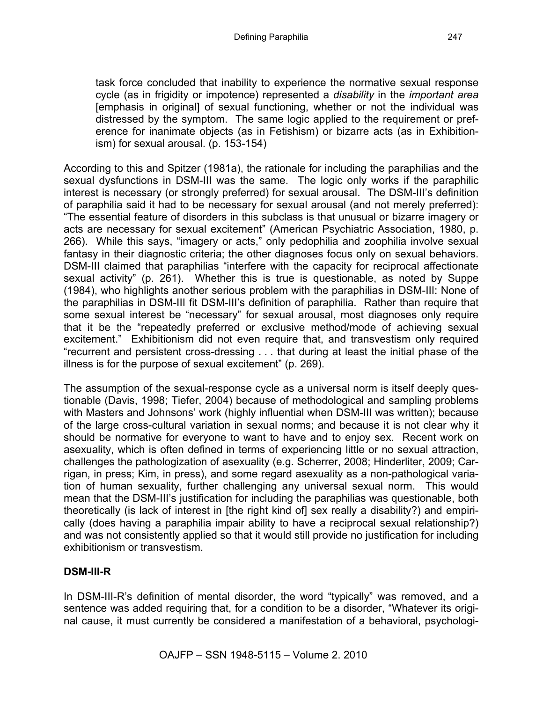task force concluded that inability to experience the normative sexual response cycle (as in frigidity or impotence) represented a *disability* in the *important area*  [emphasis in original] of sexual functioning, whether or not the individual was distressed by the symptom. The same logic applied to the requirement or preference for inanimate objects (as in Fetishism) or bizarre acts (as in Exhibitionism) for sexual arousal. (p. 153-154)

According to this and Spitzer (1981a), the rationale for including the paraphilias and the sexual dysfunctions in DSM-III was the same. The logic only works if the paraphilic interest is necessary (or strongly preferred) for sexual arousal. The DSM-III's definition of paraphilia said it had to be necessary for sexual arousal (and not merely preferred): "The essential feature of disorders in this subclass is that unusual or bizarre imagery or acts are necessary for sexual excitement" (American Psychiatric Association, 1980, p. 266). While this says, "imagery or acts," only pedophilia and zoophilia involve sexual fantasy in their diagnostic criteria; the other diagnoses focus only on sexual behaviors. DSM-III claimed that paraphilias "interfere with the capacity for reciprocal affectionate sexual activity" (p. 261). Whether this is true is questionable, as noted by Suppe (1984), who highlights another serious problem with the paraphilias in DSM-III: None of the paraphilias in DSM-III fit DSM-III's definition of paraphilia. Rather than require that some sexual interest be "necessary" for sexual arousal, most diagnoses only require that it be the "repeatedly preferred or exclusive method/mode of achieving sexual excitement." Exhibitionism did not even require that, and transvestism only required "recurrent and persistent cross-dressing . . . that during at least the initial phase of the illness is for the purpose of sexual excitement" (p. 269).

The assumption of the sexual-response cycle as a universal norm is itself deeply questionable (Davis, 1998; Tiefer, 2004) because of methodological and sampling problems with Masters and Johnsons' work (highly influential when DSM-III was written); because of the large cross-cultural variation in sexual norms; and because it is not clear why it should be normative for everyone to want to have and to enjoy sex. Recent work on asexuality, which is often defined in terms of experiencing little or no sexual attraction, challenges the pathologization of asexuality (e.g. Scherrer, 2008; Hinderliter, 2009; Carrigan, in press; Kim, in press), and some regard asexuality as a non-pathological variation of human sexuality, further challenging any universal sexual norm. This would mean that the DSM-III's justification for including the paraphilias was questionable, both theoretically (is lack of interest in [the right kind of] sex really a disability?) and empirically (does having a paraphilia impair ability to have a reciprocal sexual relationship?) and was not consistently applied so that it would still provide no justification for including exhibitionism or transvestism.

### **DSM-III-R**

In DSM-III-R's definition of mental disorder, the word "typically" was removed, and a sentence was added requiring that, for a condition to be a disorder, "Whatever its original cause, it must currently be considered a manifestation of a behavioral, psychologi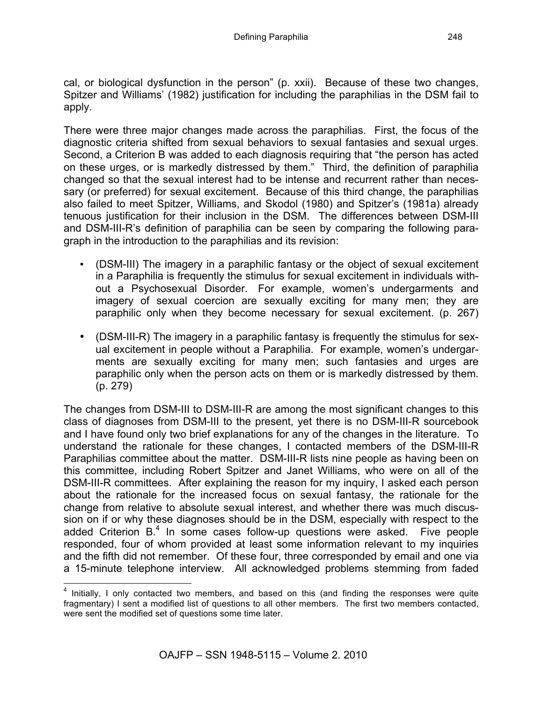cal, or biological dysfunction in the person" (p. xxii). Because of these two changes, Spitzer and Williams' (1982) justification for including the paraphilias in the DSM fail to apply.

There were three major changes made across the paraphilias. First, the focus of the diagnostic criteria shifted from sexual behaviors to sexual fantasies and sexual urges. Second, a Criterion B was added to each diagnosis requiring that "the person has acted on these urges, or is markedly distressed by them." Third, the definition of paraphilia changed so that the sexual interest had to be intense and recurrent rather than necessary (or preferred) for sexual excitement. Because of this third change, the paraphilias also failed to meet Spitzer, Williams, and Skodol (1980) and Spitzer's (1981a) already tenuous justification for their inclusion in the DSM.The differences between DSM-III and DSM-III-R's definition of paraphilia can be seen by comparing the following paragraph in the introduction to the paraphilias and its revision:

- (DSM-III) The imagery in a paraphilic fantasy or the object of sexual excitement in a Paraphilia is frequently the stimulus for sexual excitement in individuals without a Psychosexual Disorder. For example, women's undergarments and imagery of sexual coercion are sexually exciting for many men; they are paraphilic only when they become necessary for sexual excitement. (p. 267)
- (DSM-III-R) The imagery in a paraphilic fantasy is frequently the stimulus for sexual excitement in people without a Paraphilia. For example, women's undergarments are sexually exciting for many men; such fantasies and urges are paraphilic only when the person acts on them or is markedly distressed by them. (p. 279)

The changes from DSM-III to DSM-III-R are among the most significant changes to this class of diagnoses from DSM-III to the present, yet there is no DSM-III-R sourcebook and I have found only two brief explanations for any of the changes in the literature. To understand the rationale for these changes, I contacted members of the DSM-III-R Paraphilias committee about the matter. DSM-III-R lists nine people as having been on this committee, including Robert Spitzer and Janet Williams, who were on all of the DSM-III-R committees. After explaining the reason for my inquiry, I asked each person about the rationale for the increased focus on sexual fantasy, the rationale for the change from relative to absolute sexual interest, and whether there was much discussion on if or why these diagnoses should be in the DSM, especially with respect to the added Criterion B.<sup>4</sup> In some cases follow-up questions were asked. Five people responded, four of whom provided at least some information relevant to my inquiries and the fifth did not remember. Of these four, three corresponded by email and one via a 15-minute telephone interview. All acknowledged problems stemming from faded

 $4$  Initially, I only contacted two members, and based on this (and finding the responses were quite fragmentary) I sent a modified list of questions to all other members. The first two members contacted, were sent the modified set of questions some time later.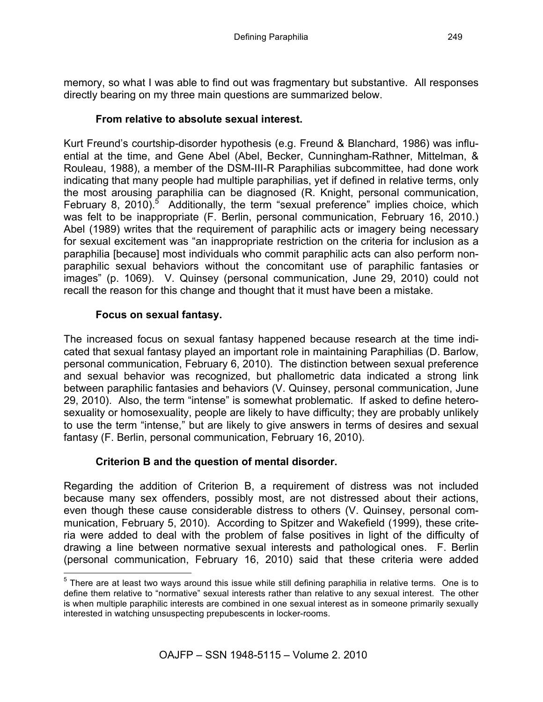memory, so what I was able to find out was fragmentary but substantive. All responses directly bearing on my three main questions are summarized below.

## **From relative to absolute sexual interest.**

Kurt Freund's courtship-disorder hypothesis (e.g. Freund & Blanchard, 1986) was influential at the time, and Gene Abel (Abel, Becker, Cunningham-Rathner, Mittelman, & Rouleau, 1988), a member of the DSM-III-R Paraphilias subcommittee, had done work indicating that many people had multiple paraphilias, yet if defined in relative terms, only the most arousing paraphilia can be diagnosed (R. Knight, personal communication, February 8, 2010).<sup>5</sup> Additionally, the term "sexual preference" implies choice, which was felt to be inappropriate (F. Berlin, personal communication, February 16, 2010.) Abel (1989) writes that the requirement of paraphilic acts or imagery being necessary for sexual excitement was "an inappropriate restriction on the criteria for inclusion as a paraphilia [because] most individuals who commit paraphilic acts can also perform nonparaphilic sexual behaviors without the concomitant use of paraphilic fantasies or images" (p. 1069). V. Quinsey (personal communication, June 29, 2010) could not recall the reason for this change and thought that it must have been a mistake.

## **Focus on sexual fantasy.**

The increased focus on sexual fantasy happened because research at the time indicated that sexual fantasy played an important role in maintaining Paraphilias (D. Barlow, personal communication, February 6, 2010). The distinction between sexual preference and sexual behavior was recognized, but phallometric data indicated a strong link between paraphilic fantasies and behaviors (V. Quinsey, personal communication, June 29, 2010). Also, the term "intense" is somewhat problematic. If asked to define heterosexuality or homosexuality, people are likely to have difficulty; they are probably unlikely to use the term "intense," but are likely to give answers in terms of desires and sexual fantasy (F. Berlin, personal communication, February 16, 2010).

# **Criterion B and the question of mental disorder.**

Regarding the addition of Criterion B, a requirement of distress was not included because many sex offenders, possibly most, are not distressed about their actions, even though these cause considerable distress to others (V. Quinsey, personal communication, February 5, 2010). According to Spitzer and Wakefield (1999), these criteria were added to deal with the problem of false positives in light of the difficulty of drawing a line between normative sexual interests and pathological ones. F. Berlin (personal communication, February 16, 2010) said that these criteria were added

<sup>&</sup>lt;sup>5</sup> There are at least two ways around this issue while still defining paraphilia in relative terms. One is to define them relative to "normative" sexual interests rather than relative to any sexual interest. The other is when multiple paraphilic interests are combined in one sexual interest as in someone primarily sexually interested in watching unsuspecting prepubescents in locker-rooms.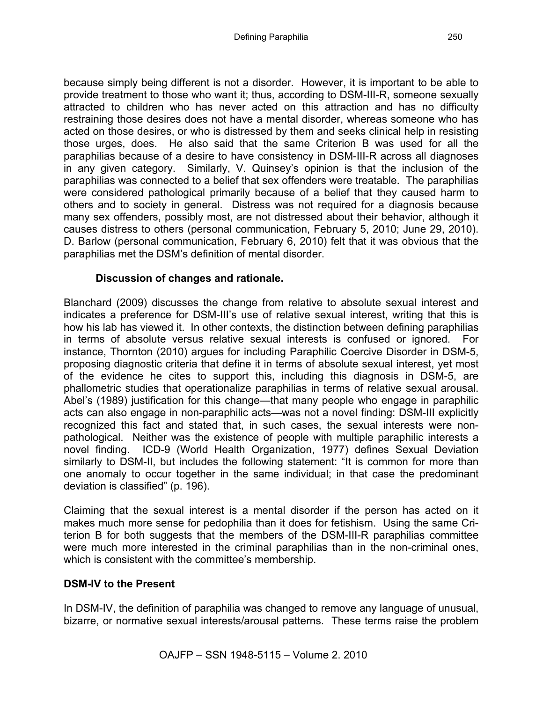because simply being different is not a disorder. However, it is important to be able to provide treatment to those who want it; thus, according to DSM-III-R, someone sexually attracted to children who has never acted on this attraction and has no difficulty restraining those desires does not have a mental disorder, whereas someone who has acted on those desires, or who is distressed by them and seeks clinical help in resisting those urges, does. He also said that the same Criterion B was used for all the paraphilias because of a desire to have consistency in DSM-III-R across all diagnoses in any given category. Similarly, V. Quinsey's opinion is that the inclusion of the paraphilias was connected to a belief that sex offenders were treatable. The paraphilias were considered pathological primarily because of a belief that they caused harm to others and to society in general. Distress was not required for a diagnosis because many sex offenders, possibly most, are not distressed about their behavior, although it causes distress to others (personal communication, February 5, 2010; June 29, 2010). D. Barlow (personal communication, February 6, 2010) felt that it was obvious that the paraphilias met the DSM's definition of mental disorder.

### **Discussion of changes and rationale.**

Blanchard (2009) discusses the change from relative to absolute sexual interest and indicates a preference for DSM-III's use of relative sexual interest, writing that this is how his lab has viewed it. In other contexts, the distinction between defining paraphilias in terms of absolute versus relative sexual interests is confused or ignored. For instance, Thornton (2010) argues for including Paraphilic Coercive Disorder in DSM-5, proposing diagnostic criteria that define it in terms of absolute sexual interest, yet most of the evidence he cites to support this, including this diagnosis in DSM-5, are phallometric studies that operationalize paraphilias in terms of relative sexual arousal. Abel's (1989) justification for this change—that many people who engage in paraphilic acts can also engage in non-paraphilic acts—was not a novel finding: DSM-III explicitly recognized this fact and stated that, in such cases, the sexual interests were nonpathological. Neither was the existence of people with multiple paraphilic interests a novel finding. ICD-9 (World Health Organization, 1977) defines Sexual Deviation similarly to DSM-II, but includes the following statement: "It is common for more than one anomaly to occur together in the same individual; in that case the predominant deviation is classified" (p. 196).

Claiming that the sexual interest is a mental disorder if the person has acted on it makes much more sense for pedophilia than it does for fetishism. Using the same Criterion B for both suggests that the members of the DSM-III-R paraphilias committee were much more interested in the criminal paraphilias than in the non-criminal ones, which is consistent with the committee's membership.

### **DSM-IV to the Present**

In DSM-IV, the definition of paraphilia was changed to remove any language of unusual, bizarre, or normative sexual interests/arousal patterns. These terms raise the problem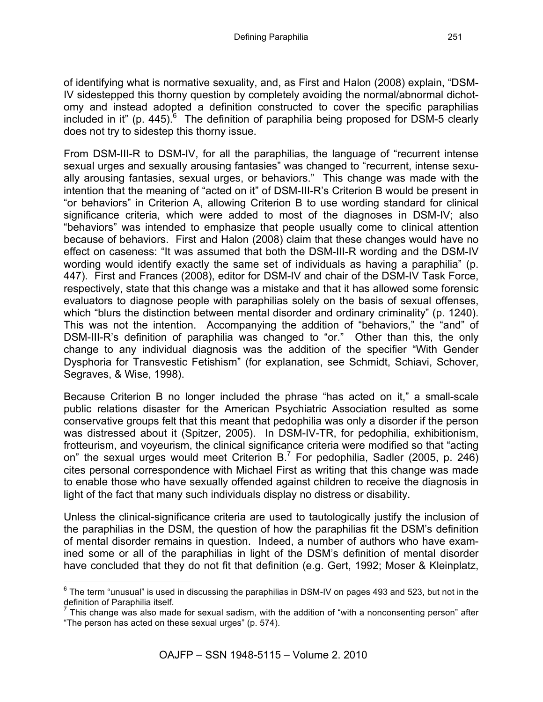of identifying what is normative sexuality, and, as First and Halon (2008) explain, "DSM-IV sidestepped this thorny question by completely avoiding the normal/abnormal dichotomy and instead adopted a definition constructed to cover the specific paraphilias included in it" (p. 445). <sup>6</sup> The definition of paraphilia being proposed for DSM-5 clearly does not try to sidestep this thorny issue.

From DSM-III-R to DSM-IV, for all the paraphilias, the language of "recurrent intense sexual urges and sexually arousing fantasies" was changed to "recurrent, intense sexually arousing fantasies, sexual urges, or behaviors." This change was made with the intention that the meaning of "acted on it" of DSM-III-R's Criterion B would be present in "or behaviors" in Criterion A, allowing Criterion B to use wording standard for clinical significance criteria, which were added to most of the diagnoses in DSM-IV; also "behaviors" was intended to emphasize that people usually come to clinical attention because of behaviors. First and Halon (2008) claim that these changes would have no effect on caseness: "It was assumed that both the DSM-III-R wording and the DSM-IV wording would identify exactly the same set of individuals as having a paraphilia" (p. 447). First and Frances (2008), editor for DSM-IV and chair of the DSM-IV Task Force, respectively, state that this change was a mistake and that it has allowed some forensic evaluators to diagnose people with paraphilias solely on the basis of sexual offenses, which "blurs the distinction between mental disorder and ordinary criminality" (p. 1240). This was not the intention. Accompanying the addition of "behaviors," the "and" of DSM-III-R's definition of paraphilia was changed to "or." Other than this, the only change to any individual diagnosis was the addition of the specifier "With Gender Dysphoria for Transvestic Fetishism" (for explanation, see Schmidt, Schiavi, Schover, Segraves, & Wise, 1998).

Because Criterion B no longer included the phrase "has acted on it," a small-scale public relations disaster for the American Psychiatric Association resulted as some conservative groups felt that this meant that pedophilia was only a disorder if the person was distressed about it (Spitzer, 2005). In DSM-IV-TR, for pedophilia, exhibitionism, frotteurism, and voyeurism, the clinical significance criteria were modified so that "acting on" the sexual urges would meet Criterion B.<sup>7</sup> For pedophilia, Sadler (2005, p. 246) cites personal correspondence with Michael First as writing that this change was made to enable those who have sexually offended against children to receive the diagnosis in light of the fact that many such individuals display no distress or disability.

Unless the clinical-significance criteria are used to tautologically justify the inclusion of the paraphilias in the DSM, the question of how the paraphilias fit the DSM's definition of mental disorder remains in question. Indeed, a number of authors who have examined some or all of the paraphilias in light of the DSM's definition of mental disorder have concluded that they do not fit that definition (e.g. Gert, 1992; Moser & Kleinplatz,

 $6$  The term "unusual" is used in discussing the paraphilias in DSM-IV on pages 493 and 523, but not in the definition of Paraphilia itself.

 $<sup>7</sup>$  This change was also made for sexual sadism, with the addition of "with a nonconsenting person" after</sup> "The person has acted on these sexual urges" (p. 574).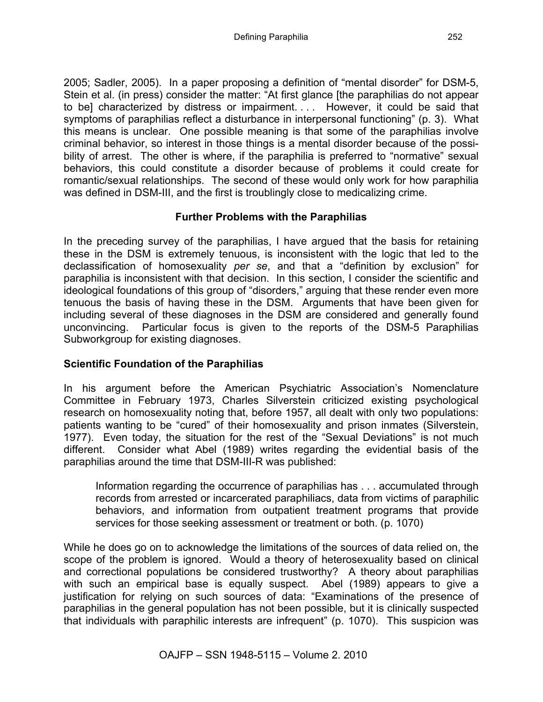2005; Sadler, 2005). In a paper proposing a definition of "mental disorder" for DSM-5, Stein et al. (in press) consider the matter: "At first glance [the paraphilias do not appear to be] characterized by distress or impairment. . . . However, it could be said that symptoms of paraphilias reflect a disturbance in interpersonal functioning" (p. 3). What this means is unclear. One possible meaning is that some of the paraphilias involve criminal behavior, so interest in those things is a mental disorder because of the possibility of arrest. The other is where, if the paraphilia is preferred to "normative" sexual behaviors, this could constitute a disorder because of problems it could create for romantic/sexual relationships. The second of these would only work for how paraphilia was defined in DSM-III, and the first is troublingly close to medicalizing crime.

### **Further Problems with the Paraphilias**

In the preceding survey of the paraphilias, I have argued that the basis for retaining these in the DSM is extremely tenuous, is inconsistent with the logic that led to the declassification of homosexuality *per se*, and that a "definition by exclusion" for paraphilia is inconsistent with that decision. In this section, I consider the scientific and ideological foundations of this group of "disorders," arguing that these render even more tenuous the basis of having these in the DSM. Arguments that have been given for including several of these diagnoses in the DSM are considered and generally found unconvincing. Particular focus is given to the reports of the DSM-5 Paraphilias Subworkgroup for existing diagnoses.

### **Scientific Foundation of the Paraphilias**

In his argument before the American Psychiatric Association's Nomenclature Committee in February 1973, Charles Silverstein criticized existing psychological research on homosexuality noting that, before 1957, all dealt with only two populations: patients wanting to be "cured" of their homosexuality and prison inmates (Silverstein, 1977). Even today, the situation for the rest of the "Sexual Deviations" is not much different. Consider what Abel (1989) writes regarding the evidential basis of the paraphilias around the time that DSM-III-R was published:

Information regarding the occurrence of paraphilias has . . . accumulated through records from arrested or incarcerated paraphiliacs, data from victims of paraphilic behaviors, and information from outpatient treatment programs that provide services for those seeking assessment or treatment or both. (p. 1070)

While he does go on to acknowledge the limitations of the sources of data relied on, the scope of the problem is ignored. Would a theory of heterosexuality based on clinical and correctional populations be considered trustworthy? A theory about paraphilias with such an empirical base is equally suspect. Abel (1989) appears to give a justification for relying on such sources of data: "Examinations of the presence of paraphilias in the general population has not been possible, but it is clinically suspected that individuals with paraphilic interests are infrequent" (p. 1070). This suspicion was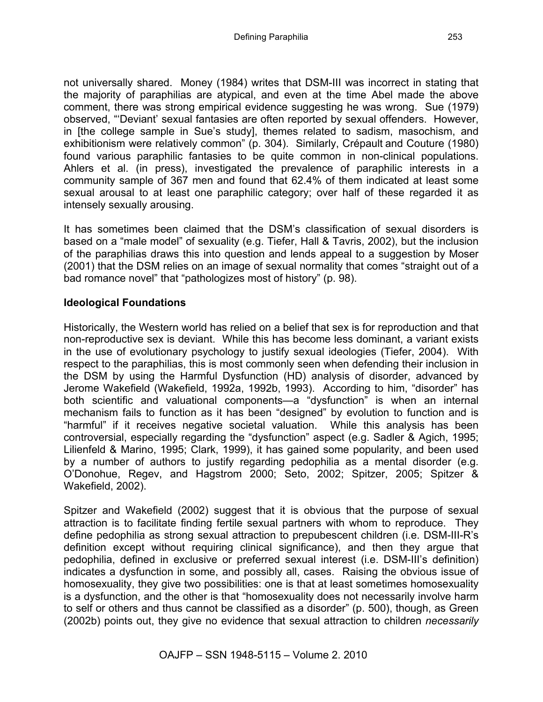not universally shared. Money (1984) writes that DSM-III was incorrect in stating that the majority of paraphilias are atypical, and even at the time Abel made the above comment, there was strong empirical evidence suggesting he was wrong. Sue (1979) observed, "'Deviant' sexual fantasies are often reported by sexual offenders. However, in [the college sample in Sue's study], themes related to sadism, masochism, and exhibitionism were relatively common" (p. 304). Similarly, Crépault and Couture (1980) found various paraphilic fantasies to be quite common in non-clinical populations. Ahlers et al. (in press), investigated the prevalence of paraphilic interests in a community sample of 367 men and found that 62.4% of them indicated at least some sexual arousal to at least one paraphilic category; over half of these regarded it as intensely sexually arousing.

It has sometimes been claimed that the DSM's classification of sexual disorders is based on a "male model" of sexuality (e.g. Tiefer, Hall & Tavris, 2002), but the inclusion of the paraphilias draws this into question and lends appeal to a suggestion by Moser (2001) that the DSM relies on an image of sexual normality that comes "straight out of a bad romance novel" that "pathologizes most of history" (p. 98).

#### **Ideological Foundations**

Historically, the Western world has relied on a belief that sex is for reproduction and that non-reproductive sex is deviant. While this has become less dominant, a variant exists in the use of evolutionary psychology to justify sexual ideologies (Tiefer, 2004). With respect to the paraphilias, this is most commonly seen when defending their inclusion in the DSM by using the Harmful Dysfunction (HD) analysis of disorder, advanced by Jerome Wakefield (Wakefield, 1992a, 1992b, 1993). According to him, "disorder" has both scientific and valuational components—a "dysfunction" is when an internal mechanism fails to function as it has been "designed" by evolution to function and is "harmful" if it receives negative societal valuation. While this analysis has been controversial, especially regarding the "dysfunction" aspect (e.g. Sadler & Agich, 1995; Lilienfeld & Marino, 1995; Clark, 1999), it has gained some popularity, and been used by a number of authors to justify regarding pedophilia as a mental disorder (e.g. O'Donohue, Regev, and Hagstrom 2000; Seto, 2002; Spitzer, 2005; Spitzer & Wakefield, 2002).

Spitzer and Wakefield (2002) suggest that it is obvious that the purpose of sexual attraction is to facilitate finding fertile sexual partners with whom to reproduce. They define pedophilia as strong sexual attraction to prepubescent children (i.e. DSM-III-R's definition except without requiring clinical significance), and then they argue that pedophilia, defined in exclusive or preferred sexual interest (i.e. DSM-III's definition) indicates a dysfunction in some, and possibly all, cases. Raising the obvious issue of homosexuality, they give two possibilities: one is that at least sometimes homosexuality is a dysfunction, and the other is that "homosexuality does not necessarily involve harm to self or others and thus cannot be classified as a disorder" (p. 500), though, as Green (2002b) points out, they give no evidence that sexual attraction to children *necessarily*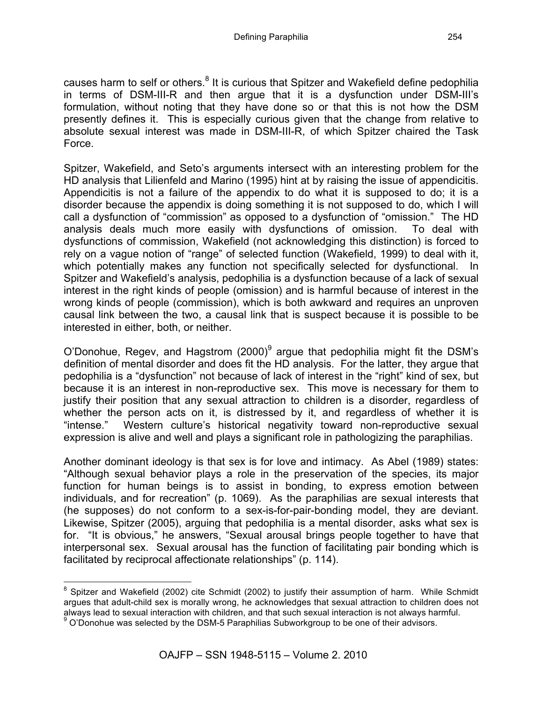causes harm to self or others.<sup>8</sup> It is curious that Spitzer and Wakefield define pedophilia in terms of DSM-III-R and then argue that it is a dysfunction under DSM-III's formulation, without noting that they have done so or that this is not how the DSM presently defines it. This is especially curious given that the change from relative to absolute sexual interest was made in DSM-III-R, of which Spitzer chaired the Task Force.

Spitzer, Wakefield, and Seto's arguments intersect with an interesting problem for the HD analysis that Lilienfeld and Marino (1995) hint at by raising the issue of appendicitis. Appendicitis is not a failure of the appendix to do what it is supposed to do; it is a disorder because the appendix is doing something it is not supposed to do, which I will call a dysfunction of "commission" as opposed to a dysfunction of "omission." The HD analysis deals much more easily with dysfunctions of omission. To deal with dysfunctions of commission, Wakefield (not acknowledging this distinction) is forced to rely on a vague notion of "range" of selected function (Wakefield, 1999) to deal with it, which potentially makes any function not specifically selected for dysfunctional. In Spitzer and Wakefield's analysis, pedophilia is a dysfunction because of a lack of sexual interest in the right kinds of people (omission) and is harmful because of interest in the wrong kinds of people (commission), which is both awkward and requires an unproven causal link between the two, a causal link that is suspect because it is possible to be interested in either, both, or neither.

O'Donohue, Regev, and Hagstrom  $(2000)^9$  argue that pedophilia might fit the DSM's definition of mental disorder and does fit the HD analysis. For the latter, they argue that pedophilia is a "dysfunction" not because of lack of interest in the "right" kind of sex, but because it is an interest in non-reproductive sex. This move is necessary for them to justify their position that any sexual attraction to children is a disorder, regardless of whether the person acts on it, is distressed by it, and regardless of whether it is "intense." Western culture's historical negativity toward non-reproductive sexual expression is alive and well and plays a significant role in pathologizing the paraphilias.

Another dominant ideology is that sex is for love and intimacy. As Abel (1989) states: "Although sexual behavior plays a role in the preservation of the species, its major function for human beings is to assist in bonding, to express emotion between individuals, and for recreation" (p. 1069). As the paraphilias are sexual interests that (he supposes) do not conform to a sex-is-for-pair-bonding model, they are deviant. Likewise, Spitzer (2005), arguing that pedophilia is a mental disorder, asks what sex is for. "It is obvious," he answers, "Sexual arousal brings people together to have that interpersonal sex. Sexual arousal has the function of facilitating pair bonding which is facilitated by reciprocal affectionate relationships" (p. 114).

<sup>&</sup>lt;sup>8</sup> Spitzer and Wakefield (2002) cite Schmidt (2002) to justify their assumption of harm. While Schmidt argues that adult-child sex is morally wrong, he acknowledges that sexual attraction to children does not always lead to sexual interaction with children, and that such sexual interaction is not always harmful.  $9^9$  O'Donohue was selected by the DSM-5 Paraphilias Subworkgroup to be one of their advisors.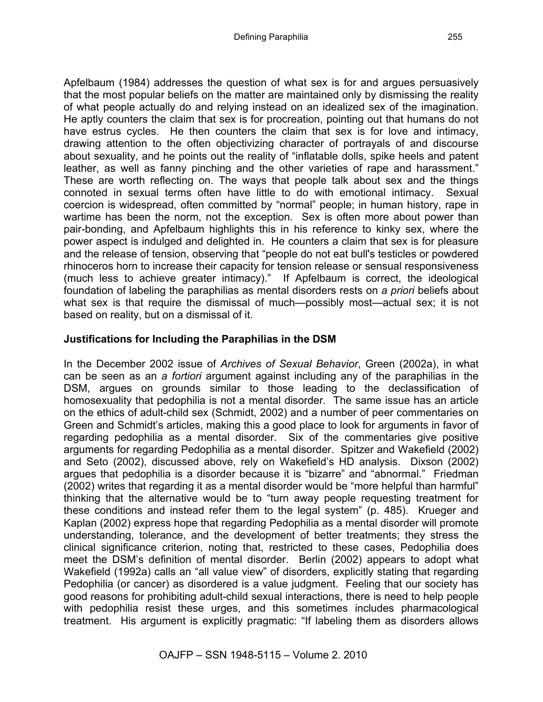Apfelbaum (1984) addresses the question of what sex is for and argues persuasively that the most popular beliefs on the matter are maintained only by dismissing the reality of what people actually do and relying instead on an idealized sex of the imagination. He aptly counters the claim that sex is for procreation, pointing out that humans do not have estrus cycles. He then counters the claim that sex is for love and intimacy, drawing attention to the often objectivizing character of portrayals of and discourse about sexuality, and he points out the reality of "inflatable dolls, spike heels and patent leather, as well as fanny pinching and the other varieties of rape and harassment." These are worth reflecting on. The ways that people talk about sex and the things connoted in sexual terms often have little to do with emotional intimacy. Sexual coercion is widespread, often committed by "normal" people; in human history, rape in wartime has been the norm, not the exception. Sex is often more about power than pair-bonding, and Apfelbaum highlights this in his reference to kinky sex, where the power aspect is indulged and delighted in. He counters a claim that sex is for pleasure and the release of tension, observing that "people do not eat bull's testicles or powdered rhinoceros horn to increase their capacity for tension release or sensual responsiveness (much less to achieve greater intimacy)." If Apfelbaum is correct, the ideological foundation of labeling the paraphilias as mental disorders rests on *a priori* beliefs about what sex is that require the dismissal of much—possibly most—actual sex; it is not based on reality, but on a dismissal of it.

### **Justifications for Including the Paraphilias in the DSM**

In the December 2002 issue of *Archives of Sexual Behavior*, Green (2002a), in what can be seen as an *a fortiori* argument against including any of the paraphilias in the DSM, argues on grounds similar to those leading to the declassification of homosexuality that pedophilia is not a mental disorder. The same issue has an article on the ethics of adult-child sex (Schmidt, 2002) and a number of peer commentaries on Green and Schmidt's articles, making this a good place to look for arguments in favor of regarding pedophilia as a mental disorder. Six of the commentaries give positive arguments for regarding Pedophilia as a mental disorder. Spitzer and Wakefield (2002) and Seto (2002), discussed above, rely on Wakefield's HD analysis. Dixson (2002) argues that pedophilia is a disorder because it is "bizarre" and "abnormal." Friedman (2002) writes that regarding it as a mental disorder would be "more helpful than harmful" thinking that the alternative would be to "turn away people requesting treatment for these conditions and instead refer them to the legal system" (p. 485). Krueger and Kaplan (2002) express hope that regarding Pedophilia as a mental disorder will promote understanding, tolerance, and the development of better treatments; they stress the clinical significance criterion, noting that, restricted to these cases, Pedophilia does meet the DSM's definition of mental disorder. Berlin (2002) appears to adopt what Wakefield (1992a) calls an "all value view" of disorders, explicitly stating that regarding Pedophilia (or cancer) as disordered is a value judgment. Feeling that our society has good reasons for prohibiting adult-child sexual interactions, there is need to help people with pedophilia resist these urges, and this sometimes includes pharmacological treatment. His argument is explicitly pragmatic: "If labeling them as disorders allows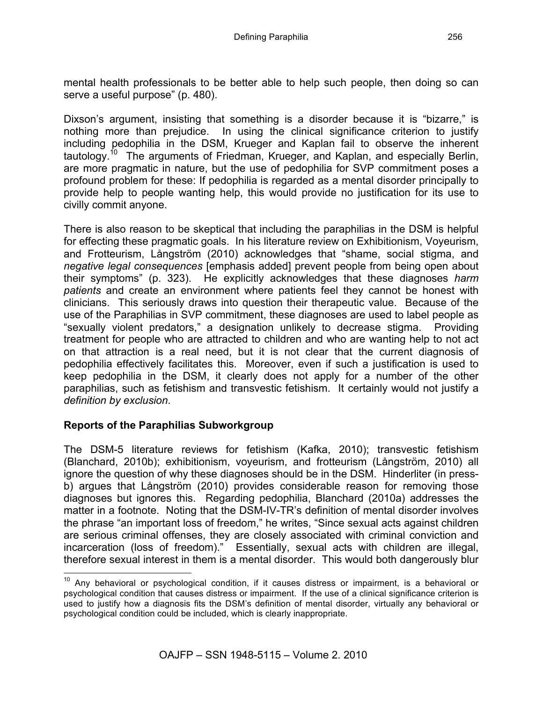mental health professionals to be better able to help such people, then doing so can serve a useful purpose" (p. 480).

Dixson's argument, insisting that something is a disorder because it is "bizarre," is nothing more than prejudice. In using the clinical significance criterion to justify including pedophilia in the DSM, Krueger and Kaplan fail to observe the inherent tautology.<sup>10</sup> The arguments of Friedman, Krueger, and Kaplan, and especially Berlin, are more pragmatic in nature, but the use of pedophilia for SVP commitment poses a profound problem for these: If pedophilia is regarded as a mental disorder principally to provide help to people wanting help, this would provide no justification for its use to civilly commit anyone.

There is also reason to be skeptical that including the paraphilias in the DSM is helpful for effecting these pragmatic goals. In his literature review on Exhibitionism, Voyeurism, and Frotteurism, Långström (2010) acknowledges that "shame, social stigma, and *negative legal consequences* [emphasis added] prevent people from being open about their symptoms" (p. 323). He explicitly acknowledges that these diagnoses *harm patients* and create an environment where patients feel they cannot be honest with clinicians. This seriously draws into question their therapeutic value. Because of the use of the Paraphilias in SVP commitment, these diagnoses are used to label people as "sexually violent predators," a designation unlikely to decrease stigma. Providing treatment for people who are attracted to children and who are wanting help to not act on that attraction is a real need, but it is not clear that the current diagnosis of pedophilia effectively facilitates this. Moreover, even if such a justification is used to keep pedophilia in the DSM, it clearly does not apply for a number of the other paraphilias, such as fetishism and transvestic fetishism. It certainly would not justify a *definition by exclusion*.

### **Reports of the Paraphilias Subworkgroup**

The DSM-5 literature reviews for fetishism (Kafka, 2010); transvestic fetishism (Blanchard, 2010b); exhibitionism, voyeurism, and frotteurism (Långström, 2010) all ignore the question of why these diagnoses should be in the DSM. Hinderliter (in pressb) argues that Långström (2010) provides considerable reason for removing those diagnoses but ignores this. Regarding pedophilia, Blanchard (2010a) addresses the matter in a footnote. Noting that the DSM-IV-TR's definition of mental disorder involves the phrase "an important loss of freedom," he writes, "Since sexual acts against children are serious criminal offenses, they are closely associated with criminal conviction and incarceration (loss of freedom)." Essentially, sexual acts with children are illegal, therefore sexual interest in them is a mental disorder. This would both dangerously blur

 $10$  Any behavioral or psychological condition, if it causes distress or impairment, is a behavioral or psychological condition that causes distress or impairment. If the use of a clinical significance criterion is used to justify how a diagnosis fits the DSM's definition of mental disorder, virtually any behavioral or psychological condition could be included, which is clearly inappropriate.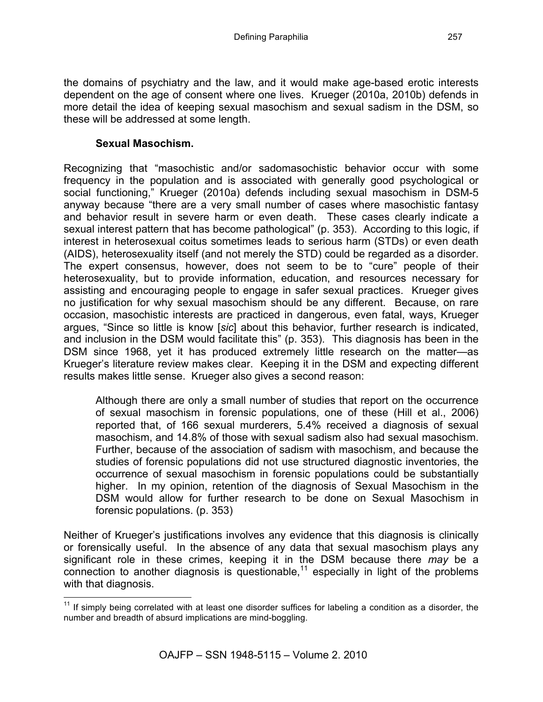the domains of psychiatry and the law, and it would make age-based erotic interests dependent on the age of consent where one lives. Krueger (2010a, 2010b) defends in more detail the idea of keeping sexual masochism and sexual sadism in the DSM, so these will be addressed at some length.

#### **Sexual Masochism.**

Recognizing that "masochistic and/or sadomasochistic behavior occur with some frequency in the population and is associated with generally good psychological or social functioning," Krueger (2010a) defends including sexual masochism in DSM-5 anyway because "there are a very small number of cases where masochistic fantasy and behavior result in severe harm or even death. These cases clearly indicate a sexual interest pattern that has become pathological" (p. 353). According to this logic, if interest in heterosexual coitus sometimes leads to serious harm (STDs) or even death (AIDS), heterosexuality itself (and not merely the STD) could be regarded as a disorder. The expert consensus, however, does not seem to be to "cure" people of their heterosexuality, but to provide information, education, and resources necessary for assisting and encouraging people to engage in safer sexual practices. Krueger gives no justification for why sexual masochism should be any different. Because, on rare occasion, masochistic interests are practiced in dangerous, even fatal, ways, Krueger argues, "Since so little is know [*sic*] about this behavior, further research is indicated, and inclusion in the DSM would facilitate this" (p. 353). This diagnosis has been in the DSM since 1968, yet it has produced extremely little research on the matter—as Krueger's literature review makes clear. Keeping it in the DSM and expecting different results makes little sense. Krueger also gives a second reason:

Although there are only a small number of studies that report on the occurrence of sexual masochism in forensic populations, one of these (Hill et al., 2006) reported that, of 166 sexual murderers, 5.4% received a diagnosis of sexual masochism, and 14.8% of those with sexual sadism also had sexual masochism. Further, because of the association of sadism with masochism, and because the studies of forensic populations did not use structured diagnostic inventories, the occurrence of sexual masochism in forensic populations could be substantially higher. In my opinion, retention of the diagnosis of Sexual Masochism in the DSM would allow for further research to be done on Sexual Masochism in forensic populations. (p. 353)

Neither of Krueger's justifications involves any evidence that this diagnosis is clinically or forensically useful. In the absence of any data that sexual masochism plays any significant role in these crimes, keeping it in the DSM because there *may* be a connection to another diagnosis is questionable,<sup>11</sup> especially in light of the problems with that diagnosis.

 $11$  If simply being correlated with at least one disorder suffices for labeling a condition as a disorder, the number and breadth of absurd implications are mind-boggling.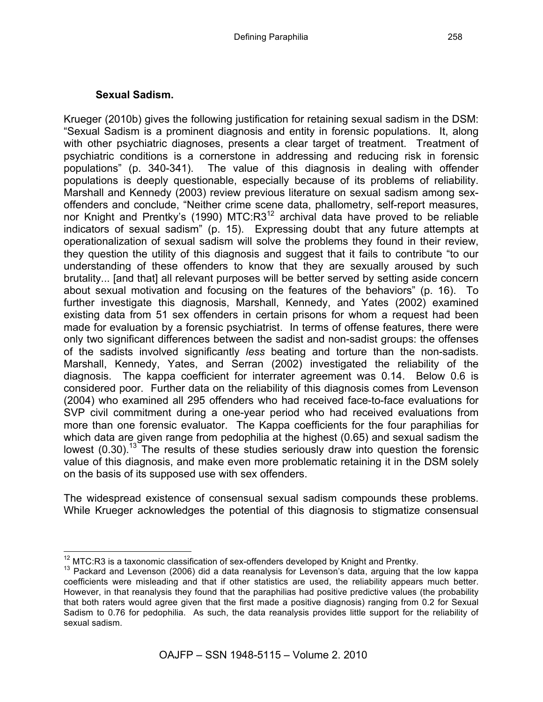## **Sexual Sadism.**

Krueger (2010b) gives the following justification for retaining sexual sadism in the DSM: "Sexual Sadism is a prominent diagnosis and entity in forensic populations. It, along with other psychiatric diagnoses, presents a clear target of treatment. Treatment of psychiatric conditions is a cornerstone in addressing and reducing risk in forensic populations" (p. 340-341). The value of this diagnosis in dealing with offender populations is deeply questionable, especially because of its problems of reliability. Marshall and Kennedy (2003) review previous literature on sexual sadism among sexoffenders and conclude, "Neither crime scene data, phallometry, self-report measures, nor Knight and Prentky's (1990) MTC:R3<sup>12</sup> archival data have proved to be reliable indicators of sexual sadism" (p. 15). Expressing doubt that any future attempts at operationalization of sexual sadism will solve the problems they found in their review, they question the utility of this diagnosis and suggest that it fails to contribute "to our understanding of these offenders to know that they are sexually aroused by such brutality... [and that] all relevant purposes will be better served by setting aside concern about sexual motivation and focusing on the features of the behaviors" (p. 16). To further investigate this diagnosis, Marshall, Kennedy, and Yates (2002) examined existing data from 51 sex offenders in certain prisons for whom a request had been made for evaluation by a forensic psychiatrist. In terms of offense features, there were only two significant differences between the sadist and non-sadist groups: the offenses of the sadists involved significantly *less* beating and torture than the non-sadists. Marshall, Kennedy, Yates, and Serran (2002) investigated the reliability of the diagnosis. The kappa coefficient for interrater agreement was 0.14. Below 0.6 is considered poor. Further data on the reliability of this diagnosis comes from Levenson (2004) who examined all 295 offenders who had received face-to-face evaluations for SVP civil commitment during a one-year period who had received evaluations from more than one forensic evaluator. The Kappa coefficients for the four paraphilias for which data are given range from pedophilia at the highest (0.65) and sexual sadism the lowest  $(0.30)$ .<sup>13</sup> The results of these studies seriously draw into question the forensic value of this diagnosis, and make even more problematic retaining it in the DSM solely on the basis of its supposed use with sex offenders.

The widespread existence of consensual sexual sadism compounds these problems. While Krueger acknowledges the potential of this diagnosis to stigmatize consensual

<sup>&</sup>lt;sup>12</sup> MTC:R3 is a taxonomic classification of sex-offenders developed by Knight and Prentky.<br><sup>13</sup> Packard and Levenson (2006) did a data reanalysis for Levenson's data, arguing that the low kappa coefficients were misleading and that if other statistics are used, the reliability appears much better. However, in that reanalysis they found that the paraphilias had positive predictive values (the probability that both raters would agree given that the first made a positive diagnosis) ranging from 0.2 for Sexual Sadism to 0.76 for pedophilia. As such, the data reanalysis provides little support for the reliability of sexual sadism.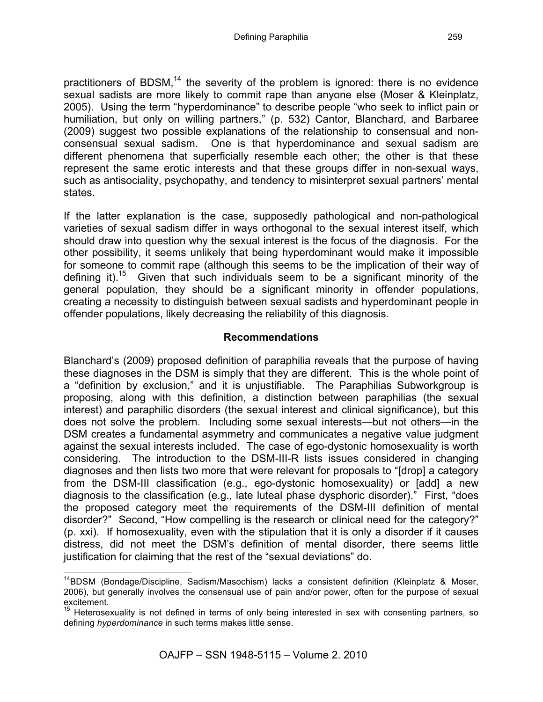practitioners of BDSM, $^{14}$  the severity of the problem is ignored: there is no evidence sexual sadists are more likely to commit rape than anyone else (Moser & Kleinplatz, 2005). Using the term "hyperdominance" to describe people "who seek to inflict pain or humiliation, but only on willing partners," (p. 532) Cantor, Blanchard, and Barbaree (2009) suggest two possible explanations of the relationship to consensual and nonconsensual sexual sadism. One is that hyperdominance and sexual sadism are different phenomena that superficially resemble each other; the other is that these represent the same erotic interests and that these groups differ in non-sexual ways, such as antisociality, psychopathy, and tendency to misinterpret sexual partners' mental states.

If the latter explanation is the case, supposedly pathological and non-pathological varieties of sexual sadism differ in ways orthogonal to the sexual interest itself, which should draw into question why the sexual interest is the focus of the diagnosis. For the other possibility, it seems unlikely that being hyperdominant would make it impossible for someone to commit rape (although this seems to be the implication of their way of defining it).<sup>15</sup> Given that such individuals seem to be a significant minority of the general population, they should be a significant minority in offender populations, creating a necessity to distinguish between sexual sadists and hyperdominant people in offender populations, likely decreasing the reliability of this diagnosis.

### **Recommendations**

Blanchard's (2009) proposed definition of paraphilia reveals that the purpose of having these diagnoses in the DSM is simply that they are different. This is the whole point of a "definition by exclusion," and it is unjustifiable. The Paraphilias Subworkgroup is proposing, along with this definition, a distinction between paraphilias (the sexual interest) and paraphilic disorders (the sexual interest and clinical significance), but this does not solve the problem. Including some sexual interests—but not others—in the DSM creates a fundamental asymmetry and communicates a negative value judgment against the sexual interests included. The case of ego-dystonic homosexuality is worth considering. The introduction to the DSM-III-R lists issues considered in changing diagnoses and then lists two more that were relevant for proposals to "[drop] a category from the DSM-III classification (e.g., ego-dystonic homosexuality) or [add] a new diagnosis to the classification (e.g., late luteal phase dysphoric disorder)." First, "does the proposed category meet the requirements of the DSM-III definition of mental disorder?" Second, "How compelling is the research or clinical need for the category?" (p. xxi). If homosexuality, even with the stipulation that it is only a disorder if it causes distress, did not meet the DSM's definition of mental disorder, there seems little justification for claiming that the rest of the "sexual deviations" do.

<sup>&</sup>lt;sup>14</sup>BDSM (Bondage/Discipline, Sadism/Masochism) lacks a consistent definition (Kleinplatz & Moser, 2006), but generally involves the consensual use of pain and/or power, often for the purpose of sexual excitement.

<sup>&</sup>lt;sup>15</sup> Heterosexuality is not defined in terms of only being interested in sex with consenting partners, so defining *hyperdominance* in such terms makes little sense.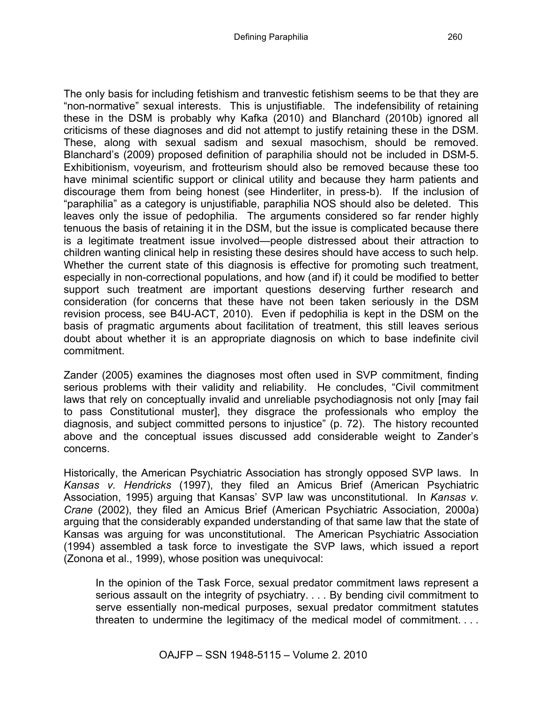The only basis for including fetishism and tranvestic fetishism seems to be that they are "non-normative" sexual interests. This is unjustifiable. The indefensibility of retaining these in the DSM is probably why Kafka (2010) and Blanchard (2010b) ignored all criticisms of these diagnoses and did not attempt to justify retaining these in the DSM. These, along with sexual sadism and sexual masochism, should be removed. Blanchard's (2009) proposed definition of paraphilia should not be included in DSM-5. Exhibitionism, voyeurism, and frotteurism should also be removed because these too have minimal scientific support or clinical utility and because they harm patients and discourage them from being honest (see Hinderliter, in press-b). If the inclusion of "paraphilia" as a category is unjustifiable, paraphilia NOS should also be deleted. This leaves only the issue of pedophilia. The arguments considered so far render highly tenuous the basis of retaining it in the DSM, but the issue is complicated because there is a legitimate treatment issue involved—people distressed about their attraction to children wanting clinical help in resisting these desires should have access to such help. Whether the current state of this diagnosis is effective for promoting such treatment, especially in non-correctional populations, and how (and if) it could be modified to better support such treatment are important questions deserving further research and consideration (for concerns that these have not been taken seriously in the DSM revision process, see B4U-ACT, 2010). Even if pedophilia is kept in the DSM on the basis of pragmatic arguments about facilitation of treatment, this still leaves serious doubt about whether it is an appropriate diagnosis on which to base indefinite civil commitment.

Zander (2005) examines the diagnoses most often used in SVP commitment, finding serious problems with their validity and reliability. He concludes, "Civil commitment laws that rely on conceptually invalid and unreliable psychodiagnosis not only [may fail to pass Constitutional muster], they disgrace the professionals who employ the diagnosis, and subject committed persons to injustice" (p. 72). The history recounted above and the conceptual issues discussed add considerable weight to Zander's concerns.

Historically, the American Psychiatric Association has strongly opposed SVP laws. In *Kansas v. Hendricks* (1997), they filed an Amicus Brief (American Psychiatric Association, 1995) arguing that Kansas' SVP law was unconstitutional. In *Kansas v. Crane* (2002), they filed an Amicus Brief (American Psychiatric Association, 2000a) arguing that the considerably expanded understanding of that same law that the state of Kansas was arguing for was unconstitutional. The American Psychiatric Association (1994) assembled a task force to investigate the SVP laws, which issued a report (Zonona et al., 1999), whose position was unequivocal:

In the opinion of the Task Force, sexual predator commitment laws represent a serious assault on the integrity of psychiatry. . . . By bending civil commitment to serve essentially non-medical purposes, sexual predator commitment statutes threaten to undermine the legitimacy of the medical model of commitment. . . .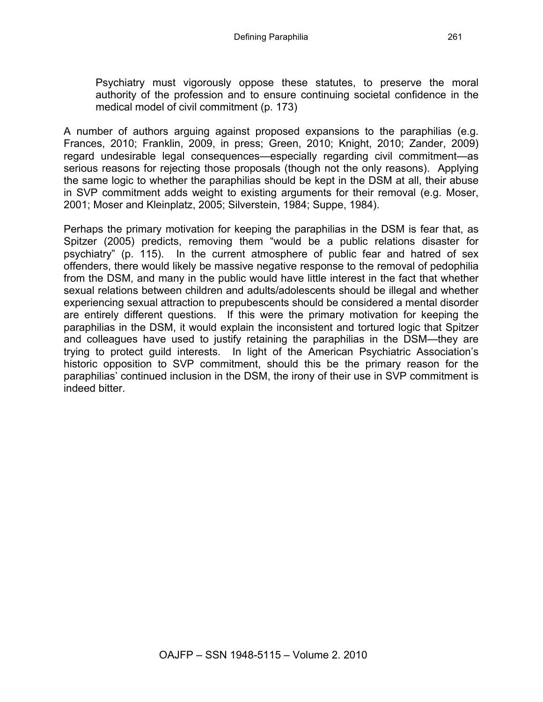Psychiatry must vigorously oppose these statutes, to preserve the moral authority of the profession and to ensure continuing societal confidence in the medical model of civil commitment (p. 173)

A number of authors arguing against proposed expansions to the paraphilias (e.g. Frances, 2010; Franklin, 2009, in press; Green, 2010; Knight, 2010; Zander, 2009) regard undesirable legal consequences—especially regarding civil commitment—as serious reasons for rejecting those proposals (though not the only reasons). Applying the same logic to whether the paraphilias should be kept in the DSM at all, their abuse in SVP commitment adds weight to existing arguments for their removal (e.g. Moser, 2001; Moser and Kleinplatz, 2005; Silverstein, 1984; Suppe, 1984).

Perhaps the primary motivation for keeping the paraphilias in the DSM is fear that, as Spitzer (2005) predicts, removing them "would be a public relations disaster for psychiatry" (p. 115). In the current atmosphere of public fear and hatred of sex offenders, there would likely be massive negative response to the removal of pedophilia from the DSM, and many in the public would have little interest in the fact that whether sexual relations between children and adults/adolescents should be illegal and whether experiencing sexual attraction to prepubescents should be considered a mental disorder are entirely different questions. If this were the primary motivation for keeping the paraphilias in the DSM, it would explain the inconsistent and tortured logic that Spitzer and colleagues have used to justify retaining the paraphilias in the DSM—they are trying to protect guild interests. In light of the American Psychiatric Association's historic opposition to SVP commitment, should this be the primary reason for the paraphilias' continued inclusion in the DSM, the irony of their use in SVP commitment is indeed bitter.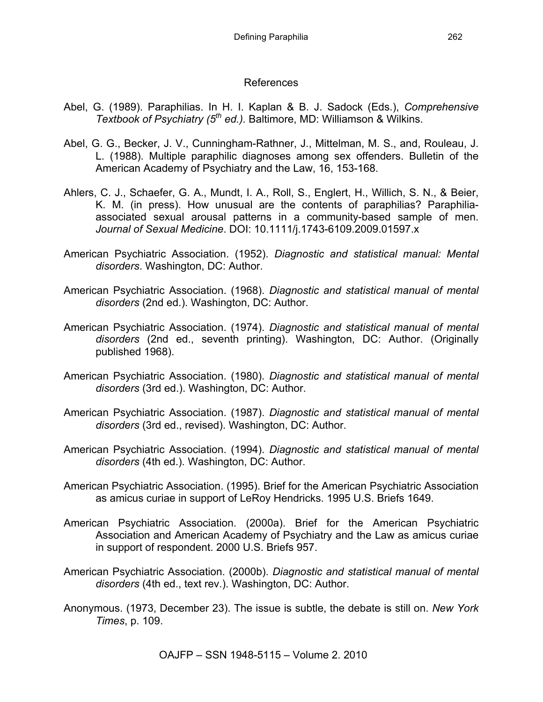#### References

- Abel, G. (1989). Paraphilias. In H. I. Kaplan & B. J. Sadock (Eds.), *Comprehensive Textbook of Psychiatry (5th ed.).* Baltimore, MD: Williamson & Wilkins.
- Abel, G. G., Becker, J. V., Cunningham-Rathner, J., Mittelman, M. S., and, Rouleau, J. L. (1988). Multiple paraphilic diagnoses among sex offenders. Bulletin of the American Academy of Psychiatry and the Law, 16, 153-168.
- Ahlers, C. J., Schaefer, G. A., Mundt, I. A., Roll, S., Englert, H., Willich, S. N., & Beier, K. M. (in press). How unusual are the contents of paraphilias? Paraphiliaassociated sexual arousal patterns in a community-based sample of men. *Journal of Sexual Medicine*. DOI: 10.1111/j.1743-6109.2009.01597.x
- American Psychiatric Association. (1952). *Diagnostic and statistical manual: Mental disorders*. Washington, DC: Author.
- American Psychiatric Association. (1968). *Diagnostic and statistical manual of mental disorders* (2nd ed.). Washington, DC: Author.
- American Psychiatric Association. (1974). *Diagnostic and statistical manual of mental disorders* (2nd ed., seventh printing). Washington, DC: Author. (Originally published 1968).
- American Psychiatric Association. (1980). *Diagnostic and statistical manual of mental disorders* (3rd ed.). Washington, DC: Author.
- American Psychiatric Association. (1987). *Diagnostic and statistical manual of mental disorders* (3rd ed., revised). Washington, DC: Author.
- American Psychiatric Association. (1994). *Diagnostic and statistical manual of mental disorders* (4th ed.). Washington, DC: Author.
- American Psychiatric Association. (1995). Brief for the American Psychiatric Association as amicus curiae in support of LeRoy Hendricks. 1995 U.S. Briefs 1649.
- American Psychiatric Association. (2000a). Brief for the American Psychiatric Association and American Academy of Psychiatry and the Law as amicus curiae in support of respondent. 2000 U.S. Briefs 957.
- American Psychiatric Association. (2000b). *Diagnostic and statistical manual of mental disorders* (4th ed., text rev.). Washington, DC: Author.
- Anonymous. (1973, December 23). The issue is subtle, the debate is still on. *New York Times*, p. 109.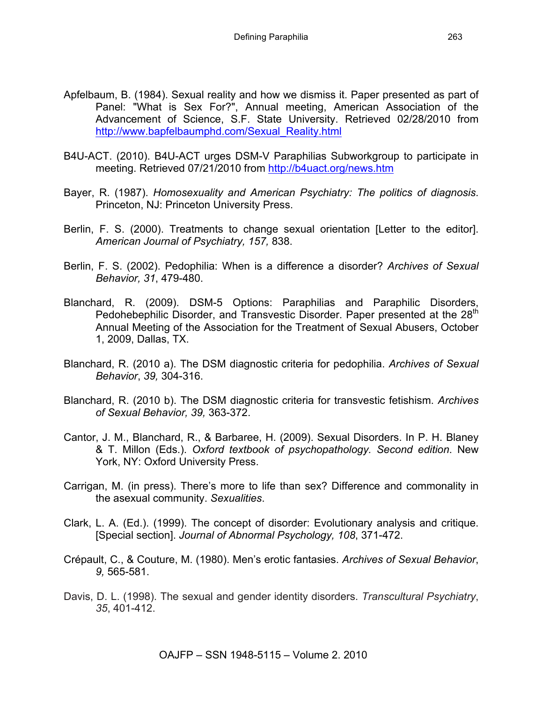- Apfelbaum, B. (1984). Sexual reality and how we dismiss it. Paper presented as part of Panel: "What is Sex For?", Annual meeting, American Association of the Advancement of Science, S.F. State University. Retrieved 02/28/2010 from http://www.bapfelbaumphd.com/Sexual\_Reality.html
- B4U-ACT. (2010). B4U-ACT urges DSM-V Paraphilias Subworkgroup to participate in meeting. Retrieved 07/21/2010 from http://b4uact.org/news.htm
- Bayer, R. (1987). *Homosexuality and American Psychiatry: The politics of diagnosis*. Princeton, NJ: Princeton University Press.
- Berlin, F. S. (2000). Treatments to change sexual orientation [Letter to the editor]. *American Journal of Psychiatry, 157,* 838.
- Berlin, F. S. (2002). Pedophilia: When is a difference a disorder? *Archives of Sexual Behavior, 31*, 479-480.
- Blanchard, R. (2009). DSM-5 Options: Paraphilias and Paraphilic Disorders, Pedohebephilic Disorder, and Transvestic Disorder. Paper presented at the 28<sup>th</sup> Annual Meeting of the Association for the Treatment of Sexual Abusers, October 1, 2009, Dallas, TX.
- Blanchard, R. (2010 a). The DSM diagnostic criteria for pedophilia. *Archives of Sexual Behavior*, *39,* 304-316.
- Blanchard, R. (2010 b). The DSM diagnostic criteria for transvestic fetishism. *Archives of Sexual Behavior, 39,* 363-372.
- Cantor, J. M., Blanchard, R., & Barbaree, H. (2009). Sexual Disorders. In P. H. Blaney & T. Millon (Eds.). *Oxford textbook of psychopathology. Second edition*. New York, NY: Oxford University Press.
- Carrigan, M. (in press). There's more to life than sex? Difference and commonality in the asexual community. *Sexualities*.
- Clark, L. A. (Ed.). (1999). The concept of disorder: Evolutionary analysis and critique. [Special section]. *Journal of Abnormal Psychology, 108*, 371-472.
- Crépault, C., & Couture, M. (1980). Men's erotic fantasies. *Archives of Sexual Behavior*, *9,* 565-581.
- Davis, D. L. (1998). The sexual and gender identity disorders. *Transcultural Psychiatry*, *35*, 401-412.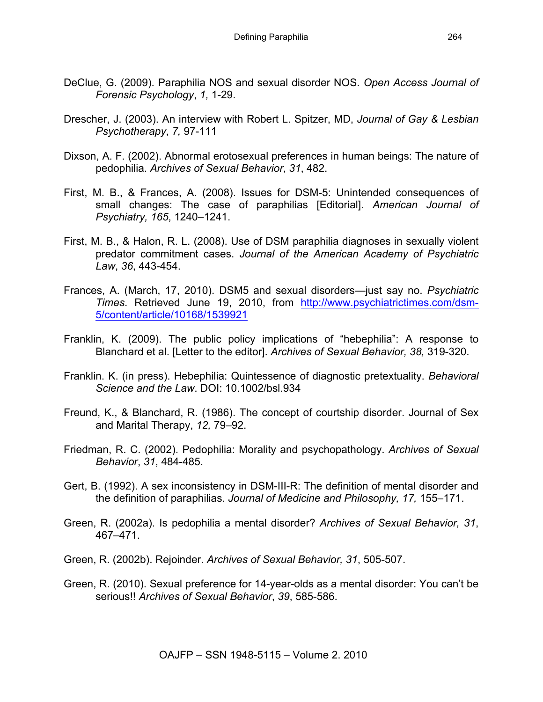- DeClue, G. (2009). Paraphilia NOS and sexual disorder NOS. *Open Access Journal of Forensic Psychology*, *1,* 1-29.
- Drescher, J. (2003). An interview with Robert L. Spitzer, MD, *Journal of Gay & Lesbian Psychotherapy*, *7,* 97-111
- Dixson, A. F. (2002). Abnormal erotosexual preferences in human beings: The nature of pedophilia. *Archives of Sexual Behavior*, *31*, 482.
- First, M. B., & Frances, A. (2008). Issues for DSM-5: Unintended consequences of small changes: The case of paraphilias [Editorial]. *American Journal of Psychiatry, 165*, 1240–1241.
- First, M. B., & Halon, R. L. (2008). Use of DSM paraphilia diagnoses in sexually violent predator commitment cases. *Journal of the American Academy of Psychiatric Law*, *36*, 443-454.
- Frances, A. (March, 17, 2010). DSM5 and sexual disorders—just say no. *Psychiatric Times*. Retrieved June 19, 2010, from http://www.psychiatrictimes.com/dsm-5/content/article/10168/1539921
- Franklin, K. (2009). The public policy implications of "hebephilia": A response to Blanchard et al. [Letter to the editor]. *Archives of Sexual Behavior, 38,* 319-320.
- Franklin. K. (in press). Hebephilia: Quintessence of diagnostic pretextuality. *Behavioral Science and the Law*. DOI: 10.1002/bsl.934
- Freund, K., & Blanchard, R. (1986). The concept of courtship disorder. Journal of Sex and Marital Therapy, *12,* 79–92.
- Friedman, R. C. (2002). Pedophilia: Morality and psychopathology. *Archives of Sexual Behavior*, *31*, 484-485.
- Gert, B. (1992). A sex inconsistency in DSM-III-R: The definition of mental disorder and the definition of paraphilias. *Journal of Medicine and Philosophy, 17,* 155–171.
- Green, R. (2002a). Is pedophilia a mental disorder? *Archives of Sexual Behavior, 31*, 467–471.
- Green, R. (2002b). Rejoinder. *Archives of Sexual Behavior, 31*, 505-507.
- Green, R. (2010). Sexual preference for 14-year-olds as a mental disorder: You can't be serious!! *Archives of Sexual Behavior*, *39*, 585-586.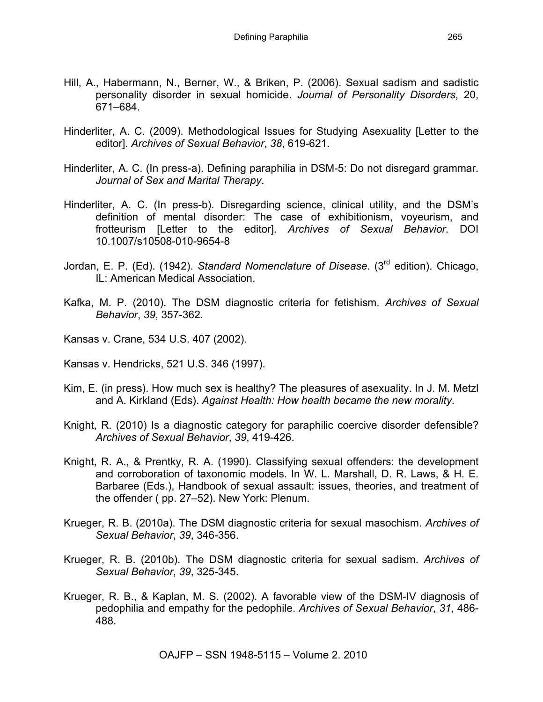- Hill, A., Habermann, N., Berner, W., & Briken, P. (2006). Sexual sadism and sadistic personality disorder in sexual homicide. *Journal of Personality Disorders*, 20, 671–684.
- Hinderliter, A. C. (2009). Methodological Issues for Studying Asexuality [Letter to the editor]. *Archives of Sexual Behavior*, *38*, 619-621.
- Hinderliter, A. C. (In press-a). Defining paraphilia in DSM-5: Do not disregard grammar. *Journal of Sex and Marital Therapy*.
- Hinderliter, A. C. (In press-b). Disregarding science, clinical utility, and the DSM's definition of mental disorder: The case of exhibitionism, voyeurism, and frotteurism [Letter to the editor]. *Archives of Sexual Behavior*. DOI 10.1007/s10508-010-9654-8
- Jordan, E. P. (Ed). (1942). *Standard Nomenclature of Disease*. (3rd edition). Chicago, IL: American Medical Association.
- Kafka, M. P. (2010). The DSM diagnostic criteria for fetishism. *Archives of Sexual Behavior*, *39*, 357-362.
- Kansas v. Crane, 534 U.S. 407 (2002).
- Kansas v. Hendricks, 521 U.S. 346 (1997).
- Kim, E. (in press). How much sex is healthy? The pleasures of asexuality. In J. M. Metzl and A. Kirkland (Eds). *Against Health: How health became the new morality*.
- Knight, R. (2010) Is a diagnostic category for paraphilic coercive disorder defensible? *Archives of Sexual Behavior*, *39*, 419-426.
- Knight, R. A., & Prentky, R. A. (1990). Classifying sexual offenders: the development and corroboration of taxonomic models. In W. L. Marshall, D. R. Laws, & H. E. Barbaree (Eds.), Handbook of sexual assault: issues, theories, and treatment of the offender ( pp. 27–52). New York: Plenum.
- Krueger, R. B. (2010a). The DSM diagnostic criteria for sexual masochism. *Archives of Sexual Behavior*, *39*, 346-356.
- Krueger, R. B. (2010b). The DSM diagnostic criteria for sexual sadism. *Archives of Sexual Behavior*, *39*, 325-345.
- Krueger, R. B., & Kaplan, M. S. (2002). A favorable view of the DSM-IV diagnosis of pedophilia and empathy for the pedophile. *Archives of Sexual Behavior*, *31*, 486- 488.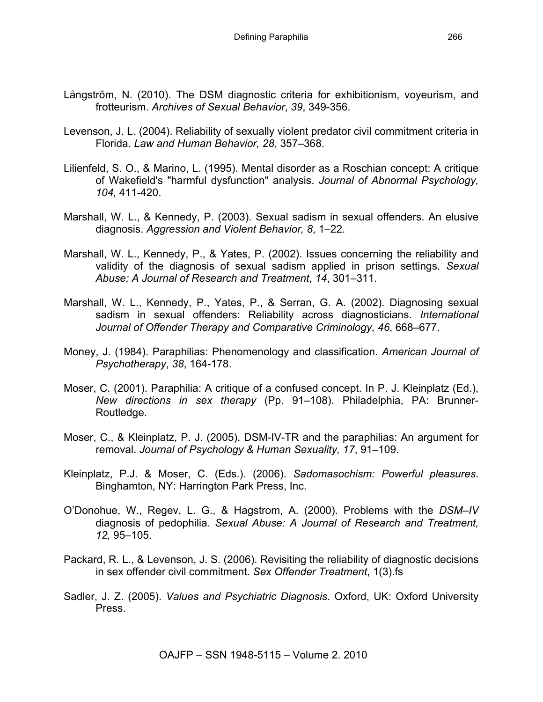- Långström, N. (2010). The DSM diagnostic criteria for exhibitionism, voyeurism, and frotteurism. *Archives of Sexual Behavior*, *39*, 349-356.
- Levenson, J. L. (2004). Reliability of sexually violent predator civil commitment criteria in Florida. *Law and Human Behavior, 28*, 357–368.
- Lilienfeld, S. O., & Marino, L. (1995). Mental disorder as a Roschian concept: A critique of Wakefield's "harmful dysfunction" analysis. *Journal of Abnormal Psychology, 104,* 411-420.
- Marshall, W. L., & Kennedy, P. (2003). Sexual sadism in sexual offenders. An elusive diagnosis. *Aggression and Violent Behavior, 8*, 1–22.
- Marshall, W. L., Kennedy, P., & Yates, P. (2002). Issues concerning the reliability and validity of the diagnosis of sexual sadism applied in prison settings. *Sexual Abuse: A Journal of Research and Treatment*, *14*, 301–311.
- Marshall, W. L., Kennedy, P., Yates, P., & Serran, G. A. (2002). Diagnosing sexual sadism in sexual offenders: Reliability across diagnosticians. *International Journal of Offender Therapy and Comparative Criminology, 46*, 668–677.
- Money, J. (1984). Paraphilias: Phenomenology and classification. *American Journal of Psychotherapy*, *38*, 164-178.
- Moser, C. (2001). Paraphilia: A critique of a confused concept. In P. J. Kleinplatz (Ed.), *New directions in sex therapy* (Pp. 91–108). Philadelphia, PA: Brunner-Routledge.
- Moser, C., & Kleinplatz, P. J. (2005). DSM-IV-TR and the paraphilias: An argument for removal. *Journal of Psychology & Human Sexuality, 17*, 91–109.
- Kleinplatz, P.J. & Moser, C. (Eds.). (2006). *Sadomasochism: Powerful pleasures*. Binghamton, NY: Harrington Park Press, Inc.
- O'Donohue, W., Regev, L. G., & Hagstrom, A. (2000). Problems with the *DSM–IV*  diagnosis of pedophilia. *Sexual Abuse: A Journal of Research and Treatment, 12,* 95–105.
- Packard, R. L., & Levenson, J. S. (2006). Revisiting the reliability of diagnostic decisions in sex offender civil commitment. *Sex Offender Treatment*, 1(3).fs
- Sadler, J. Z. (2005). *Values and Psychiatric Diagnosis*. Oxford, UK: Oxford University Press.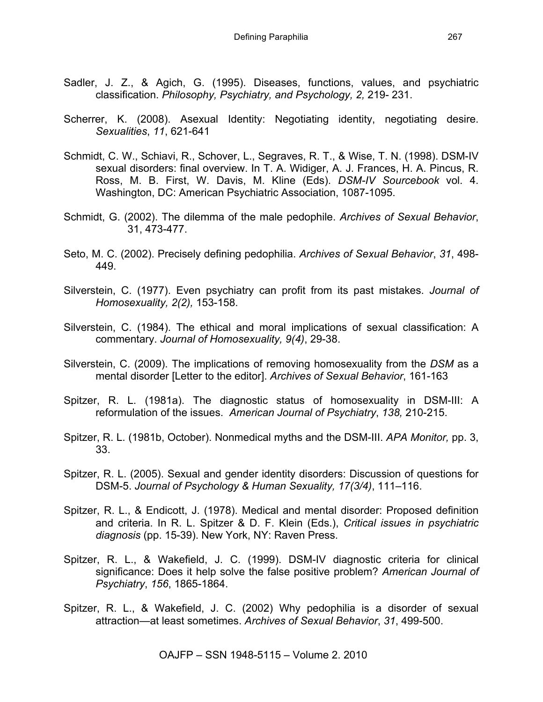- Sadler, J. Z., & Agich, G. (1995). Diseases, functions, values, and psychiatric classification. *Philosophy, Psychiatry, and Psychology, 2,* 219- 231.
- Scherrer, K. (2008). Asexual Identity: Negotiating identity, negotiating desire. *Sexualities*, *11*, 621-641
- Schmidt, C. W., Schiavi, R., Schover, L., Segraves, R. T., & Wise, T. N. (1998). DSM-IV sexual disorders: final overview. In T. A. Widiger, A. J. Frances, H. A. Pincus, R. Ross, M. B. First, W. Davis, M. Kline (Eds). *DSM-IV Sourcebook* vol. 4. Washington, DC: American Psychiatric Association, 1087-1095.
- Schmidt, G. (2002). The dilemma of the male pedophile. *Archives of Sexual Behavior*, 31, 473-477.
- Seto, M. C. (2002). Precisely defining pedophilia. *Archives of Sexual Behavior*, *31*, 498- 449.
- Silverstein, C. (1977). Even psychiatry can profit from its past mistakes. *Journal of Homosexuality, 2(2),* 153-158.
- Silverstein, C. (1984). The ethical and moral implications of sexual classification: A commentary. *Journal of Homosexuality, 9(4)*, 29-38.
- Silverstein, C. (2009). The implications of removing homosexuality from the *DSM* as a mental disorder [Letter to the editor]. *Archives of Sexual Behavior*, 161-163
- Spitzer, R. L. (1981a). The diagnostic status of homosexuality in DSM-III: A reformulation of the issues. *American Journal of Psychiatry*, *138,* 210-215.
- Spitzer, R. L. (1981b, October). Nonmedical myths and the DSM-III. *APA Monitor,* pp. 3, 33.
- Spitzer, R. L. (2005). Sexual and gender identity disorders: Discussion of questions for DSM-5. *Journal of Psychology & Human Sexuality, 17(3/4)*, 111–116.
- Spitzer, R. L., & Endicott, J. (1978). Medical and mental disorder: Proposed definition and criteria. In R. L. Spitzer & D. F. Klein (Eds.), *Critical issues in psychiatric diagnosis* (pp. 15-39). New York, NY: Raven Press.
- Spitzer, R. L., & Wakefield, J. C. (1999). DSM-IV diagnostic criteria for clinical significance: Does it help solve the false positive problem? *American Journal of Psychiatry*, *156*, 1865-1864.
- Spitzer, R. L., & Wakefield, J. C. (2002) Why pedophilia is a disorder of sexual attraction—at least sometimes. *Archives of Sexual Behavior*, *31*, 499-500.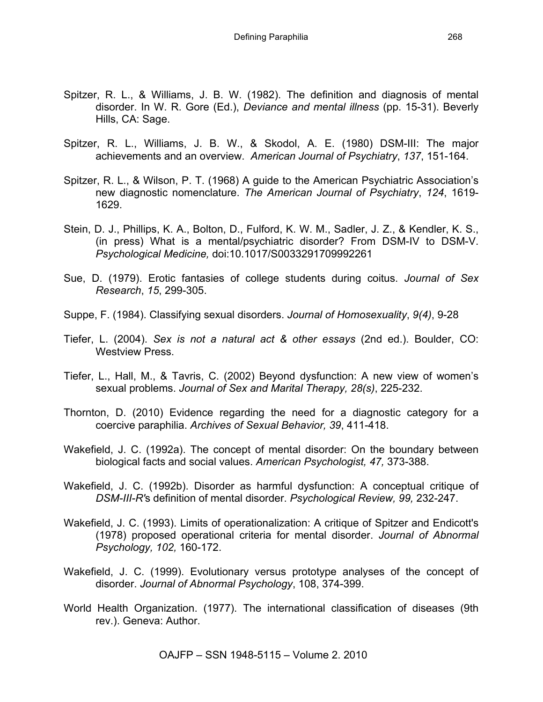- Spitzer, R. L., & Williams, J. B. W. (1982). The definition and diagnosis of mental disorder. In W. R. Gore (Ed.), *Deviance and mental illness* (pp. 15-31). Beverly Hills, CA: Sage.
- Spitzer, R. L., Williams, J. B. W., & Skodol, A. E. (1980) DSM-III: The major achievements and an overview. *American Journal of Psychiatry*, *137*, 151-164.
- Spitzer, R. L., & Wilson, P. T. (1968) A guide to the American Psychiatric Association's new diagnostic nomenclature. *The American Journal of Psychiatry*, *124*, 1619- 1629.
- Stein, D. J., Phillips, K. A., Bolton, D., Fulford, K. W. M., Sadler, J. Z., & Kendler, K. S., (in press) What is a mental/psychiatric disorder? From DSM-IV to DSM-V. *Psychological Medicine,* doi:10.1017/S0033291709992261
- Sue, D. (1979). Erotic fantasies of college students during coitus. *Journal of Sex Research*, *15*, 299-305.
- Suppe, F. (1984). Classifying sexual disorders. *Journal of Homosexuality*, *9(4)*, 9-28
- Tiefer, L. (2004). *Sex is not a natural act & other essays* (2nd ed.). Boulder, CO: Westview Press.
- Tiefer, L., Hall, M., & Tavris, C. (2002) Beyond dysfunction: A new view of women's sexual problems. *Journal of Sex and Marital Therapy, 28(s)*, 225-232.
- Thornton, D. (2010) Evidence regarding the need for a diagnostic category for a coercive paraphilia. *Archives of Sexual Behavior, 39*, 411-418.
- Wakefield, J. C. (1992a). The concept of mental disorder: On the boundary between biological facts and social values. *American Psychologist, 47,* 373-388.
- Wakefield, J. C. (1992b). Disorder as harmful dysfunction: A conceptual critique of *DSM-III-R'*s definition of mental disorder. *Psychological Review, 99,* 232-247.
- Wakefield, J. C. (1993). Limits of operationalization: A critique of Spitzer and Endicott's (1978) proposed operational criteria for mental disorder. *Journal of Abnormal Psychology, 102,* 160-172.
- Wakefield, J. C. (1999). Evolutionary versus prototype analyses of the concept of disorder. *Journal of Abnormal Psychology*, 108, 374-399.
- World Health Organization. (1977). The international classification of diseases (9th rev.). Geneva: Author.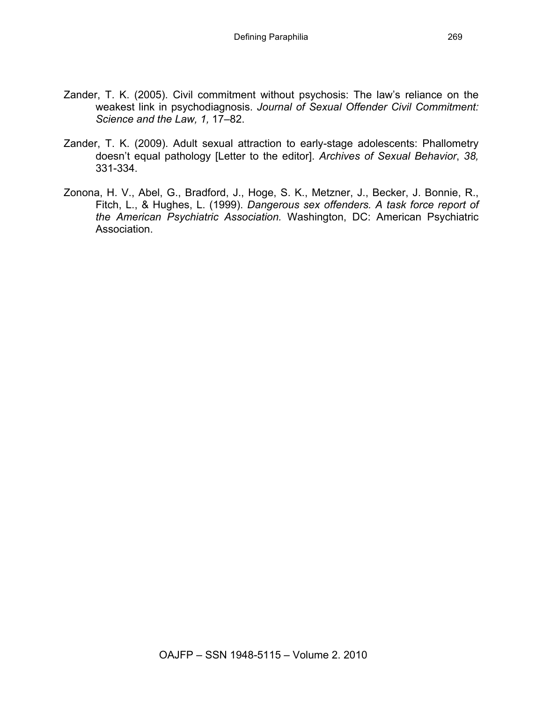- Zander, T. K. (2005). Civil commitment without psychosis: The law's reliance on the weakest link in psychodiagnosis. *Journal of Sexual Offender Civil Commitment: Science and the Law, 1,* 17–82.
- Zander, T. K. (2009). Adult sexual attraction to early-stage adolescents: Phallometry doesn't equal pathology [Letter to the editor]. *Archives of Sexual Behavior*, *38,*  331-334.
- Zonona, H. V., Abel, G., Bradford, J., Hoge, S. K., Metzner, J., Becker, J. Bonnie, R., Fitch, L., & Hughes, L. (1999). *Dangerous sex offenders. A task force report of the American Psychiatric Association.* Washington, DC: American Psychiatric Association.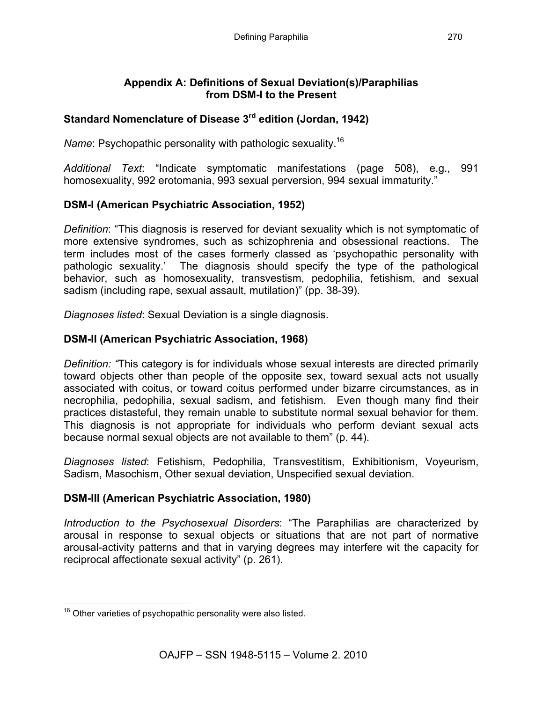#### **Appendix A: Definitions of Sexual Deviation(s)/Paraphilias from DSM-I to the Present**

# **Standard Nomenclature of Disease 3rd edition (Jordan, 1942)**

*Name*: Psychopathic personality with pathologic sexuality.16

*Additional Text*: "Indicate symptomatic manifestations (page 508), e.g., 991 homosexuality, 992 erotomania, 993 sexual perversion, 994 sexual immaturity."

# **DSM-I (American Psychiatric Association, 1952)**

*Definition*: "This diagnosis is reserved for deviant sexuality which is not symptomatic of more extensive syndromes, such as schizophrenia and obsessional reactions. The term includes most of the cases formerly classed as 'psychopathic personality with pathologic sexuality.' The diagnosis should specify the type of the pathological behavior, such as homosexuality, transvestism, pedophilia, fetishism, and sexual sadism (including rape, sexual assault, mutilation)" (pp. 38-39).

*Diagnoses listed*: Sexual Deviation is a single diagnosis.

# **DSM-II (American Psychiatric Association, 1968)**

*Definition: "*This category is for individuals whose sexual interests are directed primarily toward objects other than people of the opposite sex, toward sexual acts not usually associated with coitus, or toward coitus performed under bizarre circumstances, as in necrophilia, pedophilia, sexual sadism, and fetishism. Even though many find their practices distasteful, they remain unable to substitute normal sexual behavior for them. This diagnosis is not appropriate for individuals who perform deviant sexual acts because normal sexual objects are not available to them" (p. 44).

*Diagnoses listed*: Fetishism, Pedophilia, Transvestitism, Exhibitionism, Voyeurism, Sadism, Masochism, Other sexual deviation, Unspecified sexual deviation.

# **DSM-III (American Psychiatric Association, 1980)**

*Introduction to the Psychosexual Disorders*: "The Paraphilias are characterized by arousal in response to sexual objects or situations that are not part of normative arousal-activity patterns and that in varying degrees may interfere wit the capacity for reciprocal affectionate sexual activity" (p. 261).

<sup>&</sup>lt;sup>16</sup> Other varieties of psychopathic personality were also listed.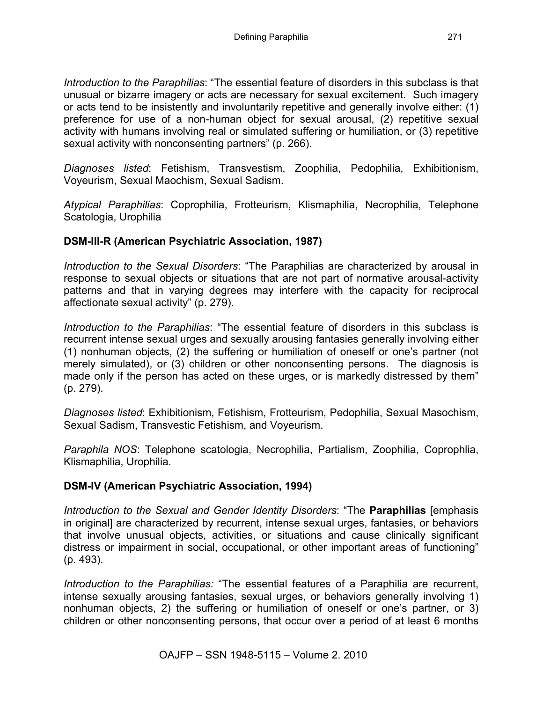*Introduction to the Paraphilias*: "The essential feature of disorders in this subclass is that unusual or bizarre imagery or acts are necessary for sexual excitement. Such imagery or acts tend to be insistently and involuntarily repetitive and generally involve either: (1) preference for use of a non-human object for sexual arousal, (2) repetitive sexual activity with humans involving real or simulated suffering or humiliation, or (3) repetitive sexual activity with nonconsenting partners" (p. 266).

*Diagnoses listed*: Fetishism, Transvestism, Zoophilia, Pedophilia, Exhibitionism, Voyeurism, Sexual Maochism, Sexual Sadism.

*Atypical Paraphilias*: Coprophilia, Frotteurism, Klismaphilia, Necrophilia, Telephone Scatologia, Urophilia

## **DSM-III-R (American Psychiatric Association, 1987)**

*Introduction to the Sexual Disorders*: "The Paraphilias are characterized by arousal in response to sexual objects or situations that are not part of normative arousal-activity patterns and that in varying degrees may interfere with the capacity for reciprocal affectionate sexual activity" (p. 279).

*Introduction to the Paraphilias*: "The essential feature of disorders in this subclass is recurrent intense sexual urges and sexually arousing fantasies generally involving either (1) nonhuman objects, (2) the suffering or humiliation of oneself or one's partner (not merely simulated), or (3) children or other nonconsenting persons. The diagnosis is made only if the person has acted on these urges, or is markedly distressed by them" (p. 279).

*Diagnoses listed*: Exhibitionism, Fetishism, Frotteurism, Pedophilia, Sexual Masochism, Sexual Sadism, Transvestic Fetishism, and Voyeurism.

*Paraphila NOS*: Telephone scatologia, Necrophilia, Partialism, Zoophilia, Coprophlia, Klismaphilia, Urophilia.

### **DSM-IV (American Psychiatric Association, 1994)**

*Introduction to the Sexual and Gender Identity Disorders*: "The **Paraphilias** [emphasis in original] are characterized by recurrent, intense sexual urges, fantasies, or behaviors that involve unusual objects, activities, or situations and cause clinically significant distress or impairment in social, occupational, or other important areas of functioning" (p. 493).

*Introduction to the Paraphilias:* "The essential features of a Paraphilia are recurrent, intense sexually arousing fantasies, sexual urges, or behaviors generally involving 1) nonhuman objects, 2) the suffering or humiliation of oneself or one's partner, or 3) children or other nonconsenting persons, that occur over a period of at least 6 months